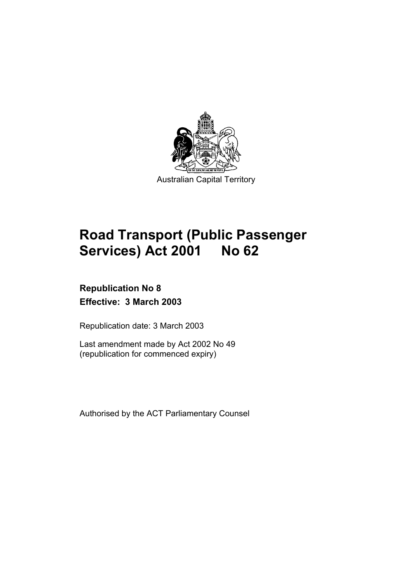

# **Road Transport (Public Passenger Services) Act 2001 No 62**

## **Republication No 8 Effective: 3 March 2003**

Republication date: 3 March 2003

Last amendment made by Act 2002 No 49 (republication for commenced expiry)

Authorised by the ACT Parliamentary Counsel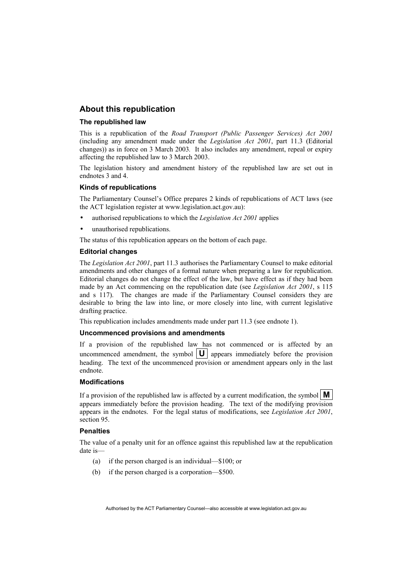#### **About this republication**

#### **The republished law**

This is a republication of the *Road Transport (Public Passenger Services) Act 2001* (including any amendment made under the *Legislation Act 2001*, part 11.3 (Editorial changes)) as in force on 3 March 2003*.* It also includes any amendment, repeal or expiry affecting the republished law to 3 March 2003.

The legislation history and amendment history of the republished law are set out in endnotes 3 and 4.

#### **Kinds of republications**

The Parliamentary Counsel's Office prepares 2 kinds of republications of ACT laws (see the ACT legislation register at www.legislation.act.gov.au):

- authorised republications to which the *Legislation Act 2001* applies
- unauthorised republications.

The status of this republication appears on the bottom of each page.

#### **Editorial changes**

The *Legislation Act 2001*, part 11.3 authorises the Parliamentary Counsel to make editorial amendments and other changes of a formal nature when preparing a law for republication. Editorial changes do not change the effect of the law, but have effect as if they had been made by an Act commencing on the republication date (see *Legislation Act 2001*, s 115 and s 117). The changes are made if the Parliamentary Counsel considers they are desirable to bring the law into line, or more closely into line, with current legislative drafting practice.

This republication includes amendments made under part 11.3 (see endnote 1).

#### **Uncommenced provisions and amendments**

If a provision of the republished law has not commenced or is affected by an uncommenced amendment, the symbol  $|\mathbf{U}|$  appears immediately before the provision heading. The text of the uncommenced provision or amendment appears only in the last endnote.

#### **Modifications**

If a provision of the republished law is affected by a current modification, the symbol  $\mathbf{M}$ appears immediately before the provision heading. The text of the modifying provision appears in the endnotes. For the legal status of modifications, see *Legislation Act 2001*, section 95.

#### **Penalties**

The value of a penalty unit for an offence against this republished law at the republication date is—

- (a) if the person charged is an individual—\$100; or
- (b) if the person charged is a corporation—\$500.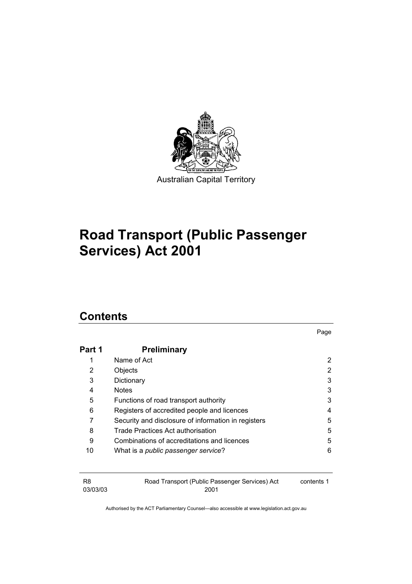

# **Road Transport (Public Passenger Services) Act 2001**

## **Contents**

|        |                                                     | Page |
|--------|-----------------------------------------------------|------|
| Part 1 | <b>Preliminary</b>                                  |      |
| 1      | Name of Act                                         | 2    |
| 2      | Objects                                             | 2    |
| 3      | Dictionary                                          | 3    |
| 4      | <b>Notes</b>                                        | 3    |
| 5      | Functions of road transport authority               | 3    |
| 6      | Registers of accredited people and licences         | 4    |
| 7      | Security and disclosure of information in registers | 5    |
| 8      | Trade Practices Act authorisation                   | 5    |
| 9      | Combinations of accreditations and licences         | 5    |
| 10     | What is a public passenger service?                 | 6    |

| R8       | Road Transport (Public Passenger Services) Act | contents 1 |
|----------|------------------------------------------------|------------|
| 03/03/03 | 2001                                           |            |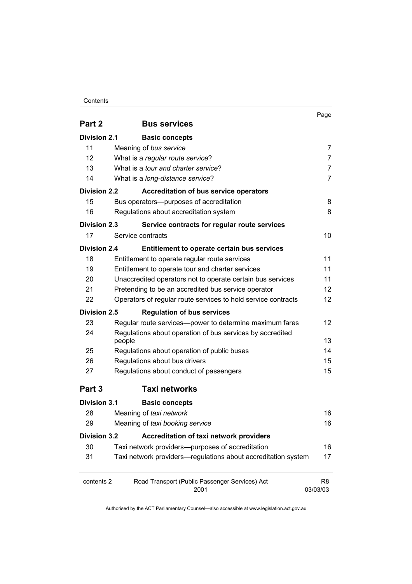#### Contents

|                     |                                                                     | Page                       |
|---------------------|---------------------------------------------------------------------|----------------------------|
| Part 2              | <b>Bus services</b>                                                 |                            |
| <b>Division 2.1</b> | <b>Basic concepts</b>                                               |                            |
| 11                  | Meaning of bus service                                              | 7                          |
| 12                  | What is a regular route service?                                    | $\overline{7}$             |
| 13                  | What is a <i>tour and charter service</i> ?                         | 7                          |
| 14                  | What is a long-distance service?                                    | $\overline{7}$             |
| <b>Division 2.2</b> | <b>Accreditation of bus service operators</b>                       |                            |
| 15                  | Bus operators--- purposes of accreditation                          | 8                          |
| 16                  | Regulations about accreditation system                              | 8                          |
| <b>Division 2.3</b> | Service contracts for regular route services                        |                            |
| 17                  | Service contracts                                                   | 10                         |
| <b>Division 2.4</b> | Entitlement to operate certain bus services                         |                            |
| 18                  | Entitlement to operate regular route services                       | 11                         |
| 19                  | Entitlement to operate tour and charter services                    | 11                         |
| 20                  | Unaccredited operators not to operate certain bus services          | 11                         |
| 21                  | Pretending to be an accredited bus service operator                 | 12                         |
| 22                  | Operators of regular route services to hold service contracts       | $12 \overline{ }$          |
| <b>Division 2.5</b> | <b>Regulation of bus services</b>                                   |                            |
| 23                  | Regular route services-power to determine maximum fares             | 12                         |
| 24                  | Regulations about operation of bus services by accredited<br>people | 13                         |
| 25                  | Regulations about operation of public buses                         | 14                         |
| 26                  | Regulations about bus drivers                                       | 15                         |
| 27                  | Regulations about conduct of passengers                             | 15                         |
| Part 3              | <b>Taxi networks</b>                                                |                            |
| <b>Division 3.1</b> | <b>Basic concepts</b>                                               |                            |
| 28                  | Meaning of taxi network                                             | 16                         |
| 29                  | Meaning of taxi booking service                                     | 16                         |
| <b>Division 3.2</b> | Accreditation of taxi network providers                             |                            |
| 30                  | Taxi network providers--purposes of accreditation                   | 16                         |
| 31                  | Taxi network providers-regulations about accreditation system       | 17                         |
| contents 2          | Road Transport (Public Passenger Services) Act<br>2001              | R <sub>8</sub><br>03/03/03 |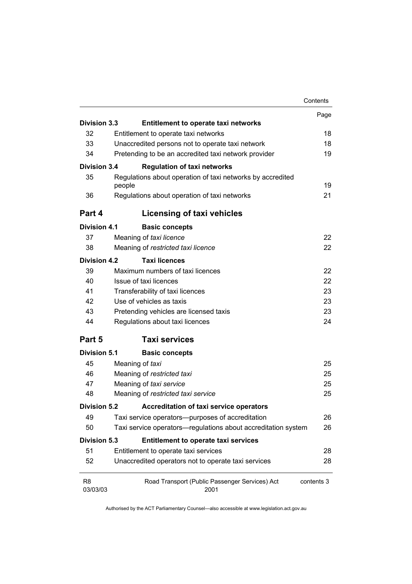|                            |                                                                      | Contents   |
|----------------------------|----------------------------------------------------------------------|------------|
|                            |                                                                      | Page       |
| Division 3.3               | <b>Entitlement to operate taxi networks</b>                          |            |
| 32                         | Entitlement to operate taxi networks                                 | 18         |
| 33                         | Unaccredited persons not to operate taxi network                     | 18         |
| 34                         | Pretending to be an accredited taxi network provider                 | 19         |
| <b>Division 3.4</b>        | <b>Regulation of taxi networks</b>                                   |            |
| 35                         | Regulations about operation of taxi networks by accredited<br>people | 19         |
| 36                         | Regulations about operation of taxi networks                         | 21         |
| Part 4                     | Licensing of taxi vehicles                                           |            |
| Division 4.1               | <b>Basic concepts</b>                                                |            |
| 37                         | Meaning of taxi licence                                              | 22         |
| 38                         | Meaning of restricted taxi licence                                   | 22         |
| <b>Division 4.2</b>        | <b>Taxi licences</b>                                                 |            |
| 39                         | Maximum numbers of taxi licences                                     | 22         |
| 40                         | Issue of taxi licences                                               | 22         |
| 41                         | Transferability of taxi licences                                     | 23         |
| 42                         | Use of vehicles as taxis                                             | 23         |
| 43                         | Pretending vehicles are licensed taxis                               | 23         |
| 44                         | Regulations about taxi licences                                      | 24         |
| Part 5                     | <b>Taxi services</b>                                                 |            |
| <b>Division 5.1</b>        | <b>Basic concepts</b>                                                |            |
| 45                         | Meaning of taxi                                                      | 25         |
| 46                         | Meaning of restricted taxi                                           | 25         |
| 47                         | Meaning of taxi service                                              | 25         |
| 48                         | Meaning of restricted taxi service                                   | 25         |
| <b>Division 5.2</b>        | Accreditation of taxi service operators                              |            |
| 49                         | Taxi service operators--purposes of accreditation                    | 26         |
| 50                         | Taxi service operators—regulations about accreditation system        | 26         |
| <b>Division 5.3</b>        | <b>Entitlement to operate taxi services</b>                          |            |
| 51                         | Entitlement to operate taxi services                                 | 28         |
| 52                         | Unaccredited operators not to operate taxi services                  | 28         |
| R <sub>8</sub><br>03/03/03 | Road Transport (Public Passenger Services) Act<br>2001               | contents 3 |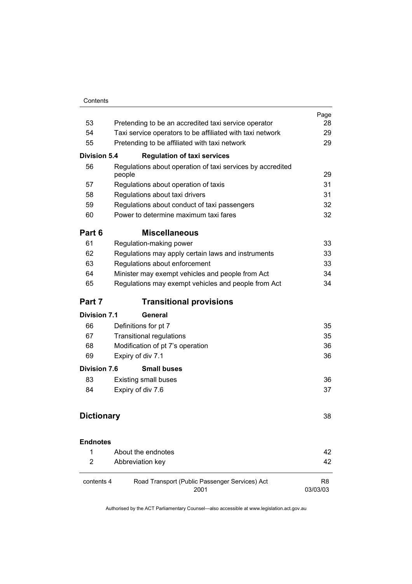| Contents |
|----------|
|          |

|                     |                                                                      | Page<br>28     |
|---------------------|----------------------------------------------------------------------|----------------|
|                     | 53<br>Pretending to be an accredited taxi service operator           |                |
| 54                  | Taxi service operators to be affiliated with taxi network            |                |
| 55                  | Pretending to be affiliated with taxi network                        | 29             |
| <b>Division 5.4</b> | <b>Regulation of taxi services</b>                                   |                |
| 56                  | Regulations about operation of taxi services by accredited<br>people | 29             |
| 57                  | Regulations about operation of taxis                                 | 31             |
| 58                  | Regulations about taxi drivers                                       | 31             |
| 59                  | Regulations about conduct of taxi passengers                         | 32             |
| 60                  | Power to determine maximum taxi fares                                | 32             |
| Part 6              | <b>Miscellaneous</b>                                                 |                |
| 61                  | Regulation-making power                                              | 33             |
| 62                  | Regulations may apply certain laws and instruments                   | 33             |
| 63                  | Regulations about enforcement                                        | 33             |
| 64                  | Minister may exempt vehicles and people from Act                     | 34             |
| 65                  | Regulations may exempt vehicles and people from Act                  | 34             |
| Part 7              | <b>Transitional provisions</b>                                       |                |
| <b>Division 7.1</b> | General                                                              |                |
| 66                  | Definitions for pt 7                                                 | 35             |
| 67                  | <b>Transitional regulations</b>                                      | 35             |
| 68                  | Modification of pt 7's operation                                     | 36             |
| 69                  | Expiry of div 7.1                                                    | 36             |
| <b>Division 7.6</b> | <b>Small buses</b>                                                   |                |
| 83                  | <b>Existing small buses</b>                                          | 36             |
| 84                  | Expiry of div 7.6                                                    | 37             |
|                     |                                                                      |                |
| <b>Dictionary</b>   |                                                                      | 38             |
| <b>Endnotes</b>     |                                                                      |                |
| 1                   | About the endnotes                                                   | 42             |
| $\overline{2}$      | Abbreviation key                                                     | 42             |
| contents 4          | Road Transport (Public Passenger Services) Act<br>2001               | R8<br>03/03/03 |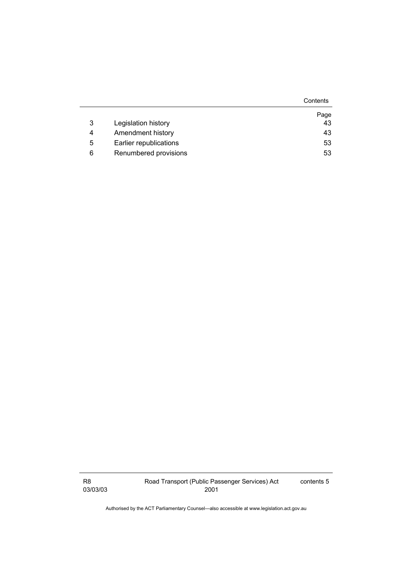|   |                        | Contents |
|---|------------------------|----------|
|   |                        | Page     |
| 3 | Legislation history    | 43       |
| 4 | Amendment history      | 43       |
| 5 | Earlier republications | 53       |
| 6 | Renumbered provisions  | 53       |

R8 03/03/03 contents 5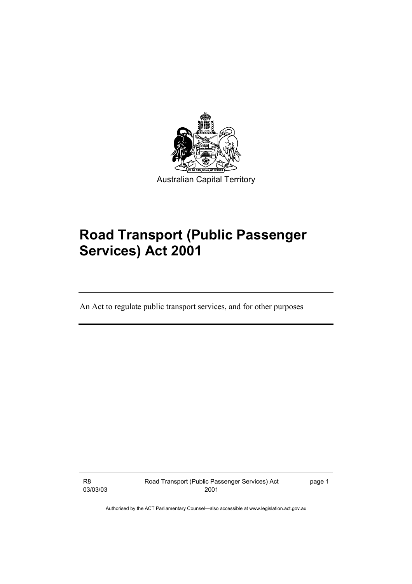

# **Road Transport (Public Passenger Services) Act 2001**

An Act to regulate public transport services, and for other purposes

R8 03/03/03 Road Transport (Public Passenger Services) Act 2001

page 1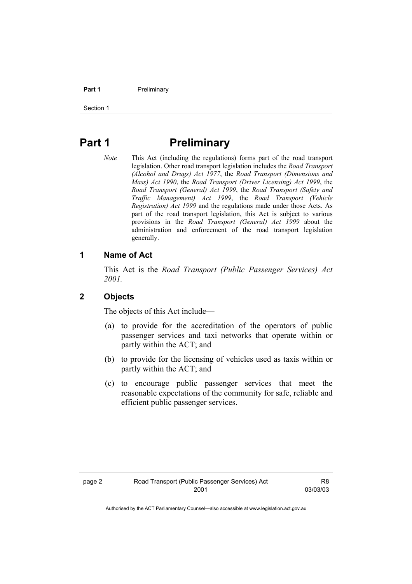#### **Part 1** Preliminary

Section 1

## **Part 1** Preliminary

*Note* This Act (including the regulations) forms part of the road transport legislation. Other road transport legislation includes the *Road Transport (Alcohol and Drugs) Act 1977*, the *Road Transport (Dimensions and Mass) Act 1990*, the *Road Transport (Driver Licensing) Act 1999*, the *Road Transport (General) Act 1999*, the *Road Transport (Safety and Traffic Management) Act 1999*, the *Road Transport (Vehicle Registration) Act 1999* and the regulations made under those Acts. As part of the road transport legislation, this Act is subject to various provisions in the *Road Transport (General) Act 1999* about the administration and enforcement of the road transport legislation generally.

### **1 Name of Act**

This Act is the *Road Transport (Public Passenger Services) Act 2001.* 

#### **2 Objects**

The objects of this Act include—

- (a) to provide for the accreditation of the operators of public passenger services and taxi networks that operate within or partly within the ACT; and
- (b) to provide for the licensing of vehicles used as taxis within or partly within the ACT; and
- (c) to encourage public passenger services that meet the reasonable expectations of the community for safe, reliable and efficient public passenger services.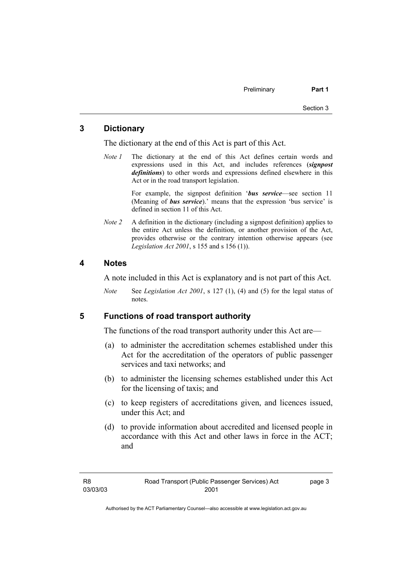### **3 Dictionary**

The dictionary at the end of this Act is part of this Act.

*Note 1* The dictionary at the end of this Act defines certain words and expressions used in this Act, and includes references (*signpost definitions*) to other words and expressions defined elsewhere in this Act or in the road transport legislation.

> For example, the signpost definition '*bus service*—see section 11 (Meaning of *bus service*).' means that the expression 'bus service' is defined in section 11 of this Act.

*Note 2* A definition in the dictionary (including a signpost definition) applies to the entire Act unless the definition, or another provision of the Act, provides otherwise or the contrary intention otherwise appears (see *Legislation Act 2001*, s 155 and s 156 (1)).

#### **4 Notes**

A note included in this Act is explanatory and is not part of this Act.

*Note* See *Legislation Act 2001*, s 127 (1), (4) and (5) for the legal status of notes.

### **5 Functions of road transport authority**

The functions of the road transport authority under this Act are—

- (a) to administer the accreditation schemes established under this Act for the accreditation of the operators of public passenger services and taxi networks; and
- (b) to administer the licensing schemes established under this Act for the licensing of taxis; and
- (c) to keep registers of accreditations given, and licences issued, under this Act; and
- (d) to provide information about accredited and licensed people in accordance with this Act and other laws in force in the ACT; and

page 3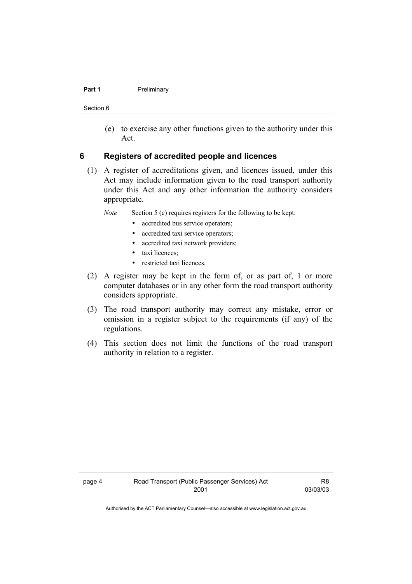#### **Part 1** Preliminary

Section 6

 (e) to exercise any other functions given to the authority under this Act.

#### **6 Registers of accredited people and licences**

 (1) A register of accreditations given, and licences issued, under this Act may include information given to the road transport authority under this Act and any other information the authority considers appropriate.

*Note* Section 5 (c) requires registers for the following to be kept:

- accredited bus service operators;
- accredited taxi service operators;
- accredited taxi network providers;
- taxi licences;
- restricted taxi licences.
- (2) A register may be kept in the form of, or as part of, 1 or more computer databases or in any other form the road transport authority considers appropriate.
- (3) The road transport authority may correct any mistake, error or omission in a register subject to the requirements (if any) of the regulations.
- (4) This section does not limit the functions of the road transport authority in relation to a register.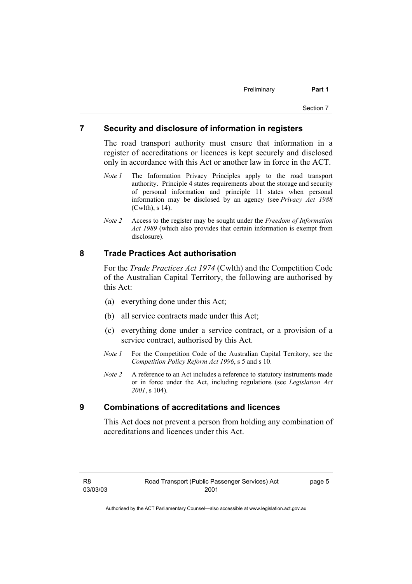#### **7 Security and disclosure of information in registers**

The road transport authority must ensure that information in a register of accreditations or licences is kept securely and disclosed only in accordance with this Act or another law in force in the ACT.

- *Note 1* The Information Privacy Principles apply to the road transport authority. Principle 4 states requirements about the storage and security of personal information and principle 11 states when personal information may be disclosed by an agency (see *Privacy Act 1988* (Cwlth), s 14).
- *Note 2* Access to the register may be sought under the *Freedom of Information Act 1989* (which also provides that certain information is exempt from disclosure).

### **8 Trade Practices Act authorisation**

For the *Trade Practices Act 1974* (Cwlth) and the Competition Code of the Australian Capital Territory, the following are authorised by this Act:

- (a) everything done under this Act;
- (b) all service contracts made under this Act;
- (c) everything done under a service contract, or a provision of a service contract, authorised by this Act.
- *Note 1* For the Competition Code of the Australian Capital Territory, see the *Competition Policy Reform Act 1996*, s 5 and s 10.
- *Note 2* A reference to an Act includes a reference to statutory instruments made or in force under the Act, including regulations (see *Legislation Act 2001*, s 104).

#### **9 Combinations of accreditations and licences**

This Act does not prevent a person from holding any combination of accreditations and licences under this Act.

page 5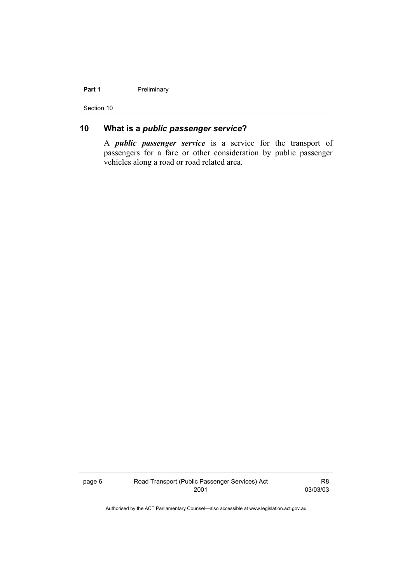#### Part 1 **Preliminary**

Section 10

### **10 What is a** *public passenger service***?**

A *public passenger service* is a service for the transport of passengers for a fare or other consideration by public passenger vehicles along a road or road related area.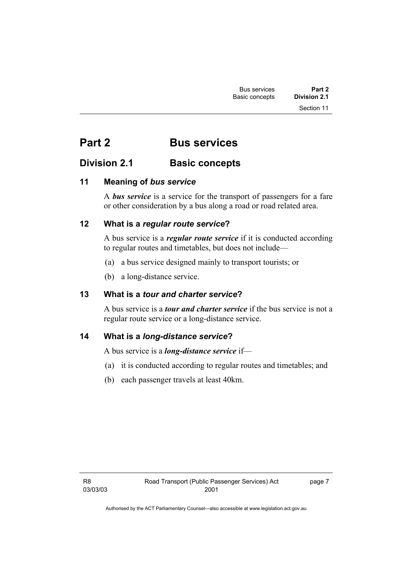## **Part 2 Bus services**

### **Division 2.1 Basic concepts**

### **11 Meaning of** *bus service*

A *bus service* is a service for the transport of passengers for a fare or other consideration by a bus along a road or road related area.

### **12 What is a** *regular route service***?**

A bus service is a *regular route service* if it is conducted according to regular routes and timetables, but does not include—

- (a) a bus service designed mainly to transport tourists; or
- (b) a long-distance service.

### **13 What is a** *tour and charter service***?**

A bus service is a *tour and charter service* if the bus service is not a regular route service or a long-distance service.

### **14 What is a** *long-distance service***?**

A bus service is a *long-distance service* if—

- (a) it is conducted according to regular routes and timetables; and
- (b) each passenger travels at least 40km.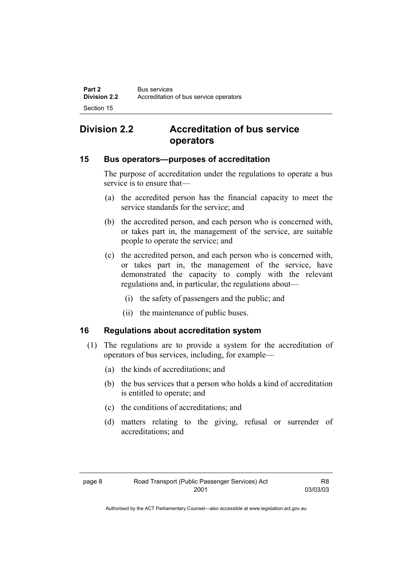## **Division 2.2 Accreditation of bus service operators**

### **15 Bus operators—purposes of accreditation**

The purpose of accreditation under the regulations to operate a bus service is to ensure that—

- (a) the accredited person has the financial capacity to meet the service standards for the service; and
- (b) the accredited person, and each person who is concerned with, or takes part in, the management of the service, are suitable people to operate the service; and
- (c) the accredited person, and each person who is concerned with, or takes part in, the management of the service, have demonstrated the capacity to comply with the relevant regulations and, in particular, the regulations about—
	- (i) the safety of passengers and the public; and
	- (ii) the maintenance of public buses.

### **16 Regulations about accreditation system**

- (1) The regulations are to provide a system for the accreditation of operators of bus services, including, for example—
	- (a) the kinds of accreditations; and
	- (b) the bus services that a person who holds a kind of accreditation is entitled to operate; and
	- (c) the conditions of accreditations; and
	- (d) matters relating to the giving, refusal or surrender of accreditations; and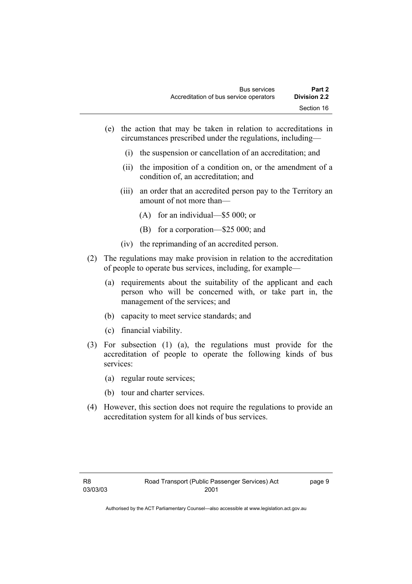- (e) the action that may be taken in relation to accreditations in circumstances prescribed under the regulations, including—
	- (i) the suspension or cancellation of an accreditation; and
	- (ii) the imposition of a condition on, or the amendment of a condition of, an accreditation; and
	- (iii) an order that an accredited person pay to the Territory an amount of not more than—
		- (A) for an individual—\$5 000; or
		- (B) for a corporation—\$25 000; and
	- (iv) the reprimanding of an accredited person.
- (2) The regulations may make provision in relation to the accreditation of people to operate bus services, including, for example—
	- (a) requirements about the suitability of the applicant and each person who will be concerned with, or take part in, the management of the services; and
	- (b) capacity to meet service standards; and
	- (c) financial viability.
- (3) For subsection (1) (a), the regulations must provide for the accreditation of people to operate the following kinds of bus services:
	- (a) regular route services;
	- (b) tour and charter services.
- (4) However, this section does not require the regulations to provide an accreditation system for all kinds of bus services.

page 9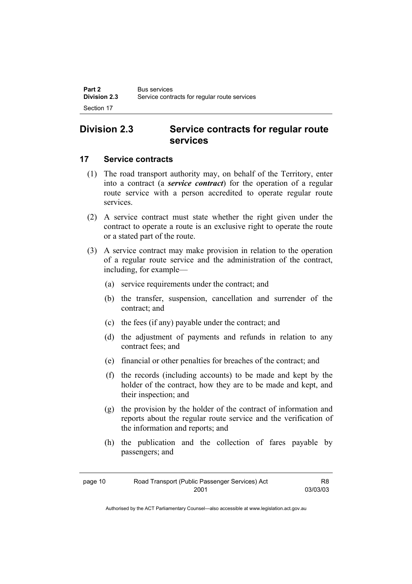### **Division 2.3 Service contracts for regular route services**

### **17 Service contracts**

- (1) The road transport authority may, on behalf of the Territory, enter into a contract (a *service contract*) for the operation of a regular route service with a person accredited to operate regular route services.
- (2) A service contract must state whether the right given under the contract to operate a route is an exclusive right to operate the route or a stated part of the route.
- (3) A service contract may make provision in relation to the operation of a regular route service and the administration of the contract, including, for example—
	- (a) service requirements under the contract; and
	- (b) the transfer, suspension, cancellation and surrender of the contract; and
	- (c) the fees (if any) payable under the contract; and
	- (d) the adjustment of payments and refunds in relation to any contract fees; and
	- (e) financial or other penalties for breaches of the contract; and
	- (f) the records (including accounts) to be made and kept by the holder of the contract, how they are to be made and kept, and their inspection; and
	- (g) the provision by the holder of the contract of information and reports about the regular route service and the verification of the information and reports; and
	- (h) the publication and the collection of fares payable by passengers; and

| page 10 | Road Transport (Public Passenger Services) Act | R8       |
|---------|------------------------------------------------|----------|
|         | 2001                                           | 03/03/03 |

Authorised by the ACT Parliamentary Counsel—also accessible at www.legislation.act.gov.au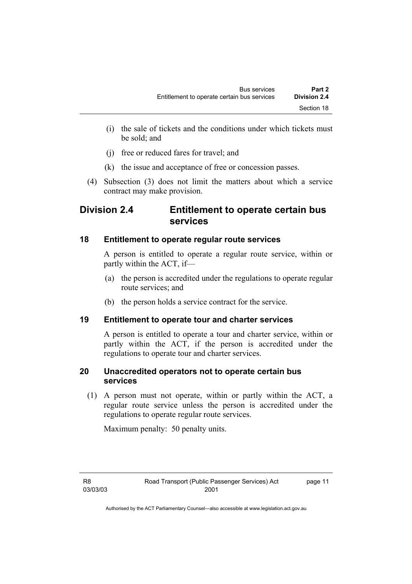- (i) the sale of tickets and the conditions under which tickets must be sold; and
- (j) free or reduced fares for travel; and
- (k) the issue and acceptance of free or concession passes.
- (4) Subsection (3) does not limit the matters about which a service contract may make provision.

### **Division 2.4 Entitlement to operate certain bus services**

### **18 Entitlement to operate regular route services**

A person is entitled to operate a regular route service, within or partly within the ACT, if—

- (a) the person is accredited under the regulations to operate regular route services; and
- (b) the person holds a service contract for the service.

### **19 Entitlement to operate tour and charter services**

A person is entitled to operate a tour and charter service, within or partly within the ACT, if the person is accredited under the regulations to operate tour and charter services.

### **20 Unaccredited operators not to operate certain bus services**

 (1) A person must not operate, within or partly within the ACT, a regular route service unless the person is accredited under the regulations to operate regular route services.

Maximum penalty: 50 penalty units.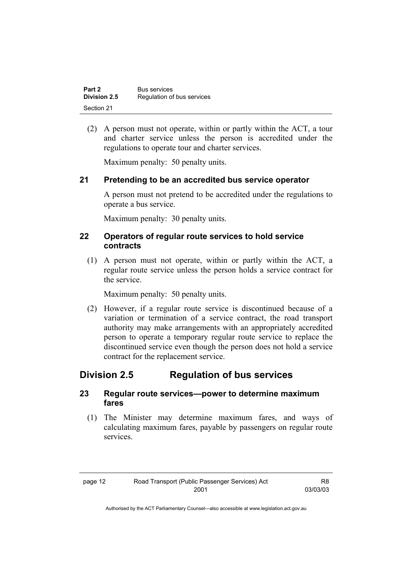| Part 2       | <b>Bus services</b>        |
|--------------|----------------------------|
| Division 2.5 | Regulation of bus services |
| Section 21   |                            |

 (2) A person must not operate, within or partly within the ACT, a tour and charter service unless the person is accredited under the regulations to operate tour and charter services.

Maximum penalty: 50 penalty units.

### **21 Pretending to be an accredited bus service operator**

A person must not pretend to be accredited under the regulations to operate a bus service.

Maximum penalty: 30 penalty units.

#### **22 Operators of regular route services to hold service contracts**

 (1) A person must not operate, within or partly within the ACT, a regular route service unless the person holds a service contract for the service.

Maximum penalty: 50 penalty units.

 (2) However, if a regular route service is discontinued because of a variation or termination of a service contract, the road transport authority may make arrangements with an appropriately accredited person to operate a temporary regular route service to replace the discontinued service even though the person does not hold a service contract for the replacement service.

### **Division 2.5 Regulation of bus services**

#### **23 Regular route services—power to determine maximum fares**

 (1) The Minister may determine maximum fares, and ways of calculating maximum fares, payable by passengers on regular route services.

| page 12 | Road Transport (Public Passenger Services) Act | R8       |
|---------|------------------------------------------------|----------|
|         | 2001                                           | 03/03/03 |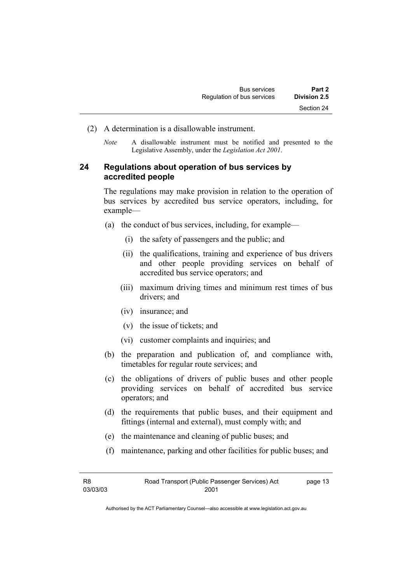- (2) A determination is a disallowable instrument.
	- *Note* A disallowable instrument must be notified and presented to the Legislative Assembly, under the *Legislation Act 2001*.

### **24 Regulations about operation of bus services by accredited people**

The regulations may make provision in relation to the operation of bus services by accredited bus service operators, including, for example—

- (a) the conduct of bus services, including, for example—
	- (i) the safety of passengers and the public; and
	- (ii) the qualifications, training and experience of bus drivers and other people providing services on behalf of accredited bus service operators; and
	- (iii) maximum driving times and minimum rest times of bus drivers; and
	- (iv) insurance; and
	- (v) the issue of tickets; and
	- (vi) customer complaints and inquiries; and
- (b) the preparation and publication of, and compliance with, timetables for regular route services; and
- (c) the obligations of drivers of public buses and other people providing services on behalf of accredited bus service operators; and
- (d) the requirements that public buses, and their equipment and fittings (internal and external), must comply with; and
- (e) the maintenance and cleaning of public buses; and
- (f) maintenance, parking and other facilities for public buses; and

| R8       | Road Transport (Public Passenger Services) Act | page 13 |
|----------|------------------------------------------------|---------|
| 03/03/03 | 2001                                           |         |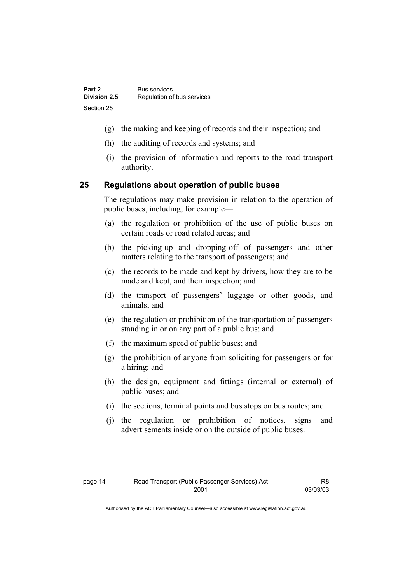- (g) the making and keeping of records and their inspection; and
- (h) the auditing of records and systems; and
- (i) the provision of information and reports to the road transport authority.

### **25 Regulations about operation of public buses**

The regulations may make provision in relation to the operation of public buses, including, for example—

- (a) the regulation or prohibition of the use of public buses on certain roads or road related areas; and
- (b) the picking-up and dropping-off of passengers and other matters relating to the transport of passengers; and
- (c) the records to be made and kept by drivers, how they are to be made and kept, and their inspection; and
- (d) the transport of passengers' luggage or other goods, and animals; and
- (e) the regulation or prohibition of the transportation of passengers standing in or on any part of a public bus; and
- (f) the maximum speed of public buses; and
- (g) the prohibition of anyone from soliciting for passengers or for a hiring; and
- (h) the design, equipment and fittings (internal or external) of public buses; and
- (i) the sections, terminal points and bus stops on bus routes; and
- (j) the regulation or prohibition of notices, signs and advertisements inside or on the outside of public buses.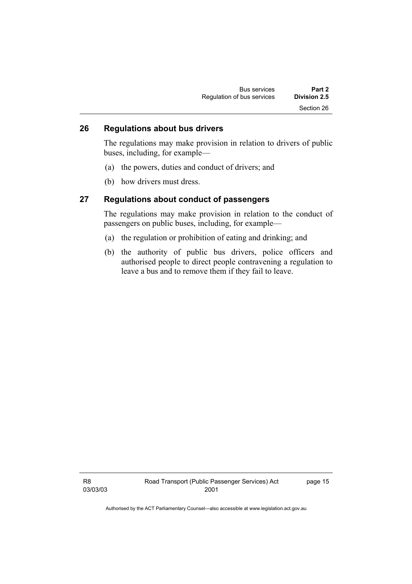| <b>Bus services</b>        | Part 2       |
|----------------------------|--------------|
| Regulation of bus services | Division 2.5 |
|                            | Section 26   |

### **26 Regulations about bus drivers**

The regulations may make provision in relation to drivers of public buses, including, for example—

- (a) the powers, duties and conduct of drivers; and
- (b) how drivers must dress.

#### **27 Regulations about conduct of passengers**

The regulations may make provision in relation to the conduct of passengers on public buses, including, for example—

- (a) the regulation or prohibition of eating and drinking; and
- (b) the authority of public bus drivers, police officers and authorised people to direct people contravening a regulation to leave a bus and to remove them if they fail to leave.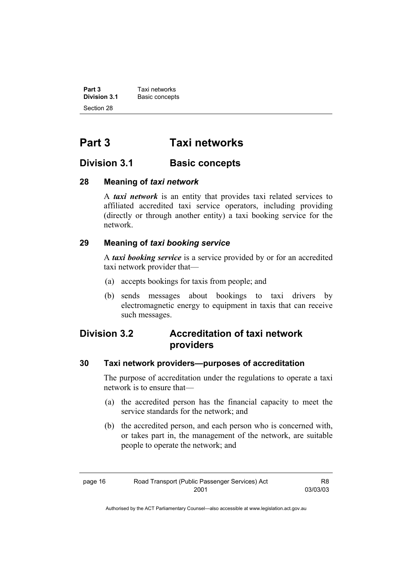**Part 3 Taxi networks**<br>**Division 3.1 Basic concepts Basic concepts** Section 28

## **Part 3 Taxi networks**

### **Division 3.1 Basic concepts**

### **28 Meaning of** *taxi network*

A *taxi network* is an entity that provides taxi related services to affiliated accredited taxi service operators, including providing (directly or through another entity) a taxi booking service for the network.

### **29 Meaning of** *taxi booking service*

A *taxi booking service* is a service provided by or for an accredited taxi network provider that—

- (a) accepts bookings for taxis from people; and
- (b) sends messages about bookings to taxi drivers by electromagnetic energy to equipment in taxis that can receive such messages.

### **Division 3.2 Accreditation of taxi network providers**

### **30 Taxi network providers—purposes of accreditation**

The purpose of accreditation under the regulations to operate a taxi network is to ensure that—

- (a) the accredited person has the financial capacity to meet the service standards for the network; and
- (b) the accredited person, and each person who is concerned with, or takes part in, the management of the network, are suitable people to operate the network; and

| page 16 | Road Transport (Public Passenger Services) Act | R8       |
|---------|------------------------------------------------|----------|
|         | 2001                                           | 03/03/03 |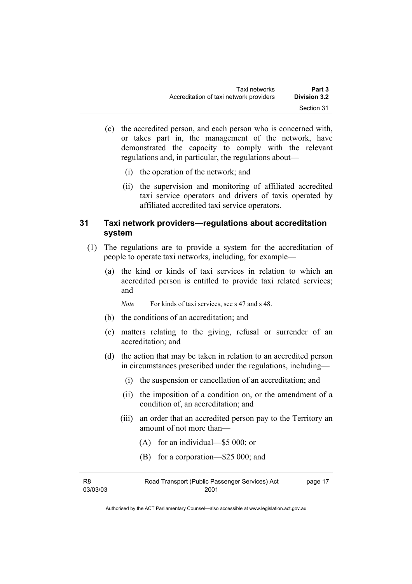- (c) the accredited person, and each person who is concerned with, or takes part in, the management of the network, have demonstrated the capacity to comply with the relevant regulations and, in particular, the regulations about—
	- (i) the operation of the network; and
	- (ii) the supervision and monitoring of affiliated accredited taxi service operators and drivers of taxis operated by affiliated accredited taxi service operators.

### **31 Taxi network providers—regulations about accreditation system**

- (1) The regulations are to provide a system for the accreditation of people to operate taxi networks, including, for example—
	- (a) the kind or kinds of taxi services in relation to which an accredited person is entitled to provide taxi related services; and

*Note* For kinds of taxi services, see s 47 and s 48.

- (b) the conditions of an accreditation; and
- (c) matters relating to the giving, refusal or surrender of an accreditation; and
- (d) the action that may be taken in relation to an accredited person in circumstances prescribed under the regulations, including—
	- (i) the suspension or cancellation of an accreditation; and
	- (ii) the imposition of a condition on, or the amendment of a condition of, an accreditation; and
	- (iii) an order that an accredited person pay to the Territory an amount of not more than—
		- (A) for an individual—\$5 000; or
		- (B) for a corporation—\$25 000; and

| R8       | Road Transport (Public Passenger Services) Act | page 17 |
|----------|------------------------------------------------|---------|
| 03/03/03 | 2001                                           |         |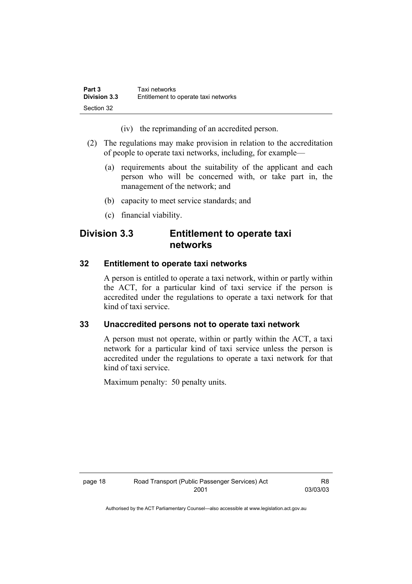| Part 3              | Taxi networks                        |
|---------------------|--------------------------------------|
| <b>Division 3.3</b> | Entitlement to operate taxi networks |
| Section 32          |                                      |

(iv) the reprimanding of an accredited person.

- (2) The regulations may make provision in relation to the accreditation of people to operate taxi networks, including, for example—
	- (a) requirements about the suitability of the applicant and each person who will be concerned with, or take part in, the management of the network; and
	- (b) capacity to meet service standards; and
	- (c) financial viability.

### **Division 3.3 Entitlement to operate taxi networks**

#### **32 Entitlement to operate taxi networks**

A person is entitled to operate a taxi network, within or partly within the ACT, for a particular kind of taxi service if the person is accredited under the regulations to operate a taxi network for that kind of taxi service.

#### **33 Unaccredited persons not to operate taxi network**

A person must not operate, within or partly within the ACT, a taxi network for a particular kind of taxi service unless the person is accredited under the regulations to operate a taxi network for that kind of taxi service.

Maximum penalty: 50 penalty units.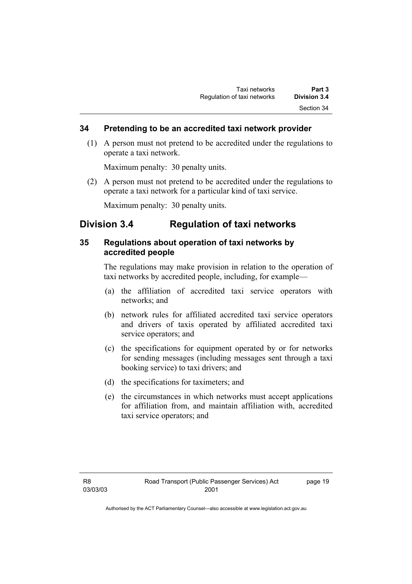#### **34 Pretending to be an accredited taxi network provider**

 (1) A person must not pretend to be accredited under the regulations to operate a taxi network.

Maximum penalty: 30 penalty units.

 (2) A person must not pretend to be accredited under the regulations to operate a taxi network for a particular kind of taxi service.

Maximum penalty: 30 penalty units.

### **Division 3.4 Regulation of taxi networks**

### **35 Regulations about operation of taxi networks by accredited people**

The regulations may make provision in relation to the operation of taxi networks by accredited people, including, for example—

- (a) the affiliation of accredited taxi service operators with networks; and
- (b) network rules for affiliated accredited taxi service operators and drivers of taxis operated by affiliated accredited taxi service operators; and
- (c) the specifications for equipment operated by or for networks for sending messages (including messages sent through a taxi booking service) to taxi drivers; and
- (d) the specifications for taximeters; and
- (e) the circumstances in which networks must accept applications for affiliation from, and maintain affiliation with, accredited taxi service operators; and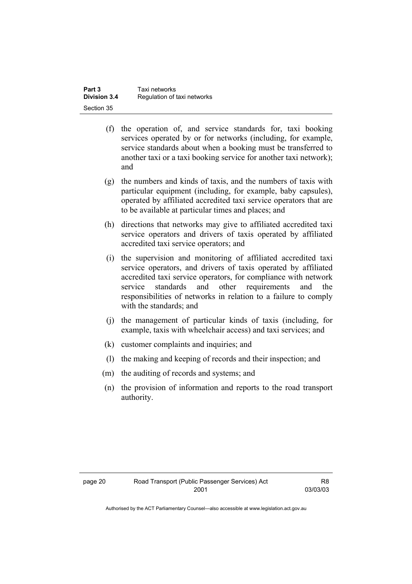| Part 3       | Taxi networks               |
|--------------|-----------------------------|
| Division 3.4 | Regulation of taxi networks |
| Section 35   |                             |

- (f) the operation of, and service standards for, taxi booking services operated by or for networks (including, for example, service standards about when a booking must be transferred to another taxi or a taxi booking service for another taxi network); and
- (g) the numbers and kinds of taxis, and the numbers of taxis with particular equipment (including, for example, baby capsules), operated by affiliated accredited taxi service operators that are to be available at particular times and places; and
- (h) directions that networks may give to affiliated accredited taxi service operators and drivers of taxis operated by affiliated accredited taxi service operators; and
- (i) the supervision and monitoring of affiliated accredited taxi service operators, and drivers of taxis operated by affiliated accredited taxi service operators, for compliance with network service standards and other requirements and the responsibilities of networks in relation to a failure to comply with the standards; and
- (j) the management of particular kinds of taxis (including, for example, taxis with wheelchair access) and taxi services; and
- (k) customer complaints and inquiries; and
- (l) the making and keeping of records and their inspection; and
- (m) the auditing of records and systems; and
- (n) the provision of information and reports to the road transport authority.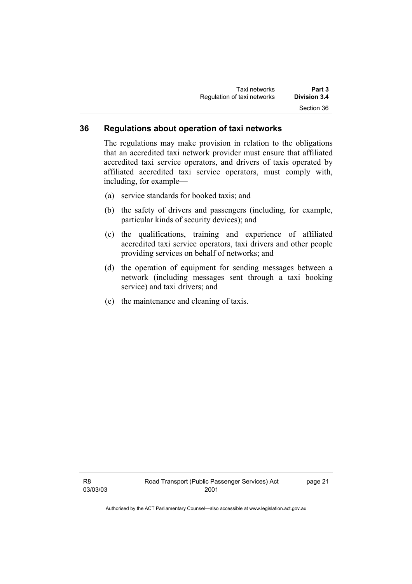| Taxi networks               | Part 3              |
|-----------------------------|---------------------|
| Regulation of taxi networks | <b>Division 3.4</b> |
|                             | Section 36          |

#### **36 Regulations about operation of taxi networks**

The regulations may make provision in relation to the obligations that an accredited taxi network provider must ensure that affiliated accredited taxi service operators, and drivers of taxis operated by affiliated accredited taxi service operators, must comply with, including, for example—

- (a) service standards for booked taxis; and
- (b) the safety of drivers and passengers (including, for example, particular kinds of security devices); and
- (c) the qualifications, training and experience of affiliated accredited taxi service operators, taxi drivers and other people providing services on behalf of networks; and
- (d) the operation of equipment for sending messages between a network (including messages sent through a taxi booking service) and taxi drivers; and
- (e) the maintenance and cleaning of taxis.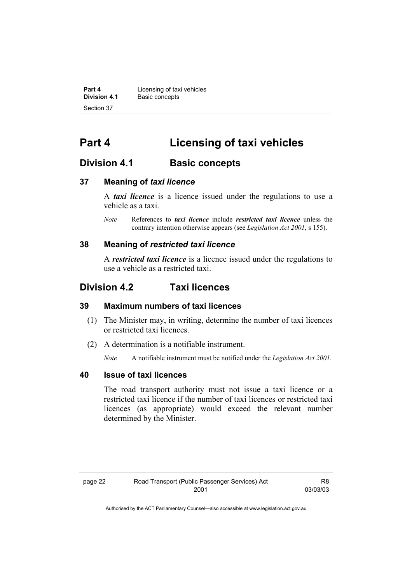**Part 4 Licensing of taxi vehicles**<br>**Division 4.1 Basic concents Basic concepts** Section 37

## **Part 4 Licensing of taxi vehicles**

### **Division 4.1 Basic concepts**

#### **37 Meaning of** *taxi licence*

A *taxi licence* is a licence issued under the regulations to use a vehicle as a taxi.

*Note* References to *taxi licence* include *restricted taxi licence* unless the contrary intention otherwise appears (see *Legislation Act 2001*, s 155).

#### **38 Meaning of** *restricted taxi licence*

A *restricted taxi licence* is a licence issued under the regulations to use a vehicle as a restricted taxi.

### **Division 4.2 Taxi licences**

#### **39 Maximum numbers of taxi licences**

- (1) The Minister may, in writing, determine the number of taxi licences or restricted taxi licences.
- (2) A determination is a notifiable instrument.

*Note* A notifiable instrument must be notified under the *Legislation Act 2001*.

#### **40 Issue of taxi licences**

The road transport authority must not issue a taxi licence or a restricted taxi licence if the number of taxi licences or restricted taxi licences (as appropriate) would exceed the relevant number determined by the Minister.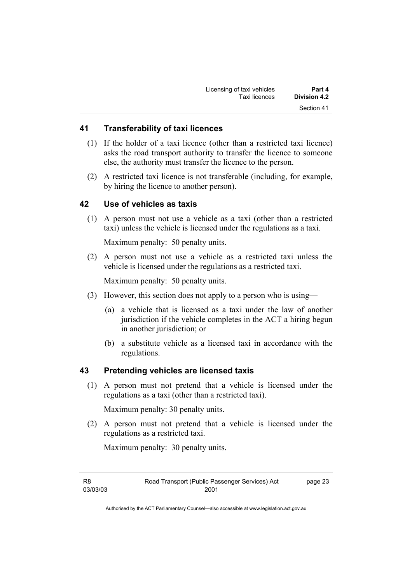| Licensing of taxi vehicles | Part 4       |
|----------------------------|--------------|
| Taxi licences              | Division 4.2 |
|                            | Section 41   |

#### **41 Transferability of taxi licences**

- (1) If the holder of a taxi licence (other than a restricted taxi licence) asks the road transport authority to transfer the licence to someone else, the authority must transfer the licence to the person.
- (2) A restricted taxi licence is not transferable (including, for example, by hiring the licence to another person).

#### **42 Use of vehicles as taxis**

 (1) A person must not use a vehicle as a taxi (other than a restricted taxi) unless the vehicle is licensed under the regulations as a taxi.

Maximum penalty: 50 penalty units.

 (2) A person must not use a vehicle as a restricted taxi unless the vehicle is licensed under the regulations as a restricted taxi.

Maximum penalty: 50 penalty units.

- (3) However, this section does not apply to a person who is using—
	- (a) a vehicle that is licensed as a taxi under the law of another jurisdiction if the vehicle completes in the ACT a hiring begun in another jurisdiction; or
	- (b) a substitute vehicle as a licensed taxi in accordance with the regulations.

#### **43 Pretending vehicles are licensed taxis**

 (1) A person must not pretend that a vehicle is licensed under the regulations as a taxi (other than a restricted taxi).

Maximum penalty: 30 penalty units.

 (2) A person must not pretend that a vehicle is licensed under the regulations as a restricted taxi.

Maximum penalty: 30 penalty units.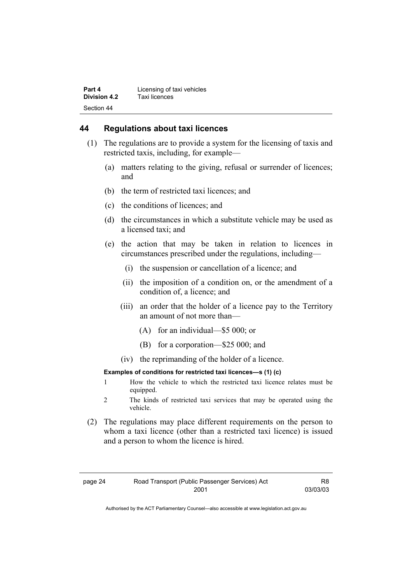#### **44 Regulations about taxi licences**

- (1) The regulations are to provide a system for the licensing of taxis and restricted taxis, including, for example—
	- (a) matters relating to the giving, refusal or surrender of licences; and
	- (b) the term of restricted taxi licences; and
	- (c) the conditions of licences; and
	- (d) the circumstances in which a substitute vehicle may be used as a licensed taxi; and
	- (e) the action that may be taken in relation to licences in circumstances prescribed under the regulations, including—
		- (i) the suspension or cancellation of a licence; and
		- (ii) the imposition of a condition on, or the amendment of a condition of, a licence; and
		- (iii) an order that the holder of a licence pay to the Territory an amount of not more than—
			- (A) for an individual—\$5 000; or
			- (B) for a corporation—\$25 000; and
		- (iv) the reprimanding of the holder of a licence.

#### **Examples of conditions for restricted taxi licences—s (1) (c)**

- 1 How the vehicle to which the restricted taxi licence relates must be equipped.
- 2 The kinds of restricted taxi services that may be operated using the vehicle.
- (2) The regulations may place different requirements on the person to whom a taxi licence (other than a restricted taxi licence) is issued and a person to whom the licence is hired.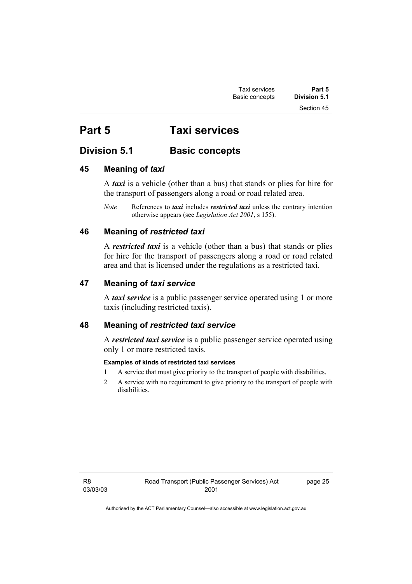## **Part 5 Taxi services**

## **Division 5.1 Basic concepts**

### **45 Meaning of** *taxi*

A *taxi* is a vehicle (other than a bus) that stands or plies for hire for the transport of passengers along a road or road related area.

*Note* References to *taxi* includes *restricted taxi* unless the contrary intention otherwise appears (see *Legislation Act 2001*, s 155).

### **46 Meaning of** *restricted taxi*

A *restricted taxi* is a vehicle (other than a bus) that stands or plies for hire for the transport of passengers along a road or road related area and that is licensed under the regulations as a restricted taxi.

### **47 Meaning of** *taxi service*

A *taxi service* is a public passenger service operated using 1 or more taxis (including restricted taxis).

### **48 Meaning of** *restricted taxi service*

A *restricted taxi service* is a public passenger service operated using only 1 or more restricted taxis.

#### **Examples of kinds of restricted taxi services**

- 1 A service that must give priority to the transport of people with disabilities.
- 2 A service with no requirement to give priority to the transport of people with disabilities.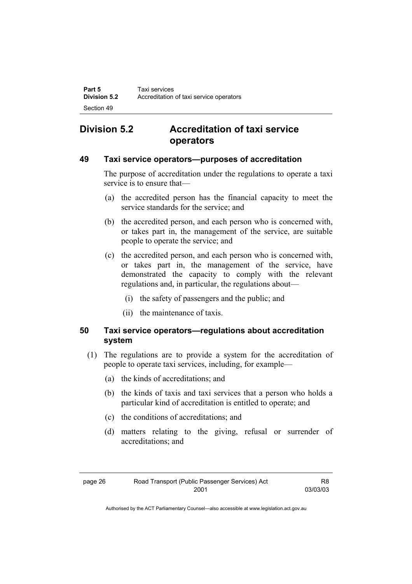## **Division 5.2 Accreditation of taxi service operators**

### **49 Taxi service operators—purposes of accreditation**

The purpose of accreditation under the regulations to operate a taxi service is to ensure that—

- (a) the accredited person has the financial capacity to meet the service standards for the service; and
- (b) the accredited person, and each person who is concerned with, or takes part in, the management of the service, are suitable people to operate the service; and
- (c) the accredited person, and each person who is concerned with, or takes part in, the management of the service, have demonstrated the capacity to comply with the relevant regulations and, in particular, the regulations about—
	- (i) the safety of passengers and the public; and
	- (ii) the maintenance of taxis.

### **50 Taxi service operators—regulations about accreditation system**

- (1) The regulations are to provide a system for the accreditation of people to operate taxi services, including, for example—
	- (a) the kinds of accreditations; and
	- (b) the kinds of taxis and taxi services that a person who holds a particular kind of accreditation is entitled to operate; and
	- (c) the conditions of accreditations; and
	- (d) matters relating to the giving, refusal or surrender of accreditations; and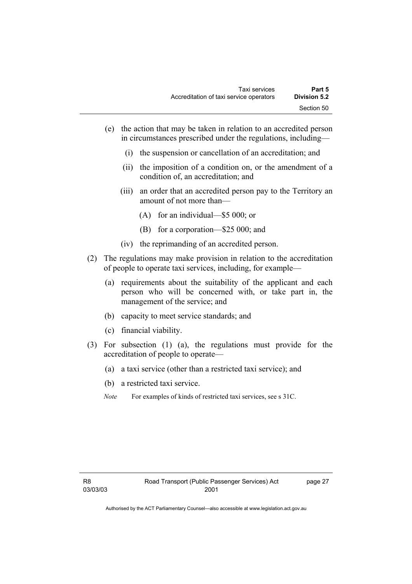- (e) the action that may be taken in relation to an accredited person in circumstances prescribed under the regulations, including—
	- (i) the suspension or cancellation of an accreditation; and
	- (ii) the imposition of a condition on, or the amendment of a condition of, an accreditation; and
	- (iii) an order that an accredited person pay to the Territory an amount of not more than—
		- (A) for an individual—\$5 000; or
		- (B) for a corporation—\$25 000; and
	- (iv) the reprimanding of an accredited person.
- (2) The regulations may make provision in relation to the accreditation of people to operate taxi services, including, for example—
	- (a) requirements about the suitability of the applicant and each person who will be concerned with, or take part in, the management of the service; and
	- (b) capacity to meet service standards; and
	- (c) financial viability.
- (3) For subsection (1) (a), the regulations must provide for the accreditation of people to operate—
	- (a) a taxi service (other than a restricted taxi service); and
	- (b) a restricted taxi service.
	- *Note* For examples of kinds of restricted taxi services, see s 31C.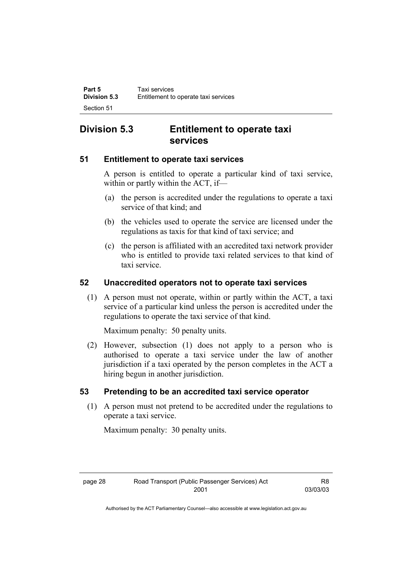### **Division 5.3 Entitlement to operate taxi services**

### **51 Entitlement to operate taxi services**

A person is entitled to operate a particular kind of taxi service, within or partly within the ACT, if—

- (a) the person is accredited under the regulations to operate a taxi service of that kind; and
- (b) the vehicles used to operate the service are licensed under the regulations as taxis for that kind of taxi service; and
- (c) the person is affiliated with an accredited taxi network provider who is entitled to provide taxi related services to that kind of taxi service.

### **52 Unaccredited operators not to operate taxi services**

 (1) A person must not operate, within or partly within the ACT, a taxi service of a particular kind unless the person is accredited under the regulations to operate the taxi service of that kind.

Maximum penalty: 50 penalty units.

 (2) However, subsection (1) does not apply to a person who is authorised to operate a taxi service under the law of another jurisdiction if a taxi operated by the person completes in the ACT a hiring begun in another jurisdiction.

#### **53 Pretending to be an accredited taxi service operator**

 (1) A person must not pretend to be accredited under the regulations to operate a taxi service.

Maximum penalty: 30 penalty units.

| page 28 | Road Transport (Public Passenger Services) Act | R8       |
|---------|------------------------------------------------|----------|
|         | 2001                                           | 03/03/03 |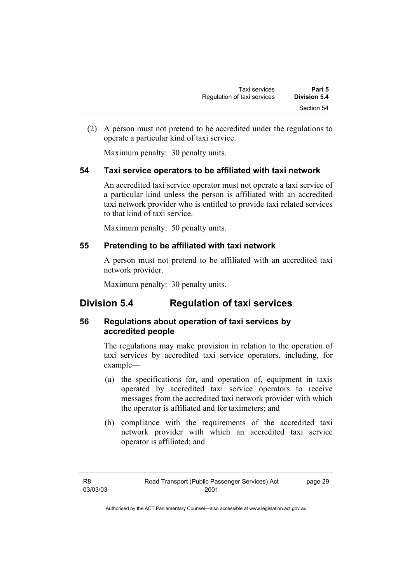(2) A person must not pretend to be accredited under the regulations to operate a particular kind of taxi service.

Maximum penalty: 30 penalty units.

### **54 Taxi service operators to be affiliated with taxi network**

An accredited taxi service operator must not operate a taxi service of a particular kind unless the person is affiliated with an accredited taxi network provider who is entitled to provide taxi related services to that kind of taxi service.

Maximum penalty: 50 penalty units.

### **55 Pretending to be affiliated with taxi network**

A person must not pretend to be affiliated with an accredited taxi network provider.

Maximum penalty: 30 penalty units.

### **Division 5.4 Regulation of taxi services**

### **56 Regulations about operation of taxi services by accredited people**

The regulations may make provision in relation to the operation of taxi services by accredited taxi service operators, including, for example—

- (a) the specifications for, and operation of, equipment in taxis operated by accredited taxi service operators to receive messages from the accredited taxi network provider with which the operator is affiliated and for taximeters; and
- (b) compliance with the requirements of the accredited taxi network provider with which an accredited taxi service operator is affiliated; and

page 29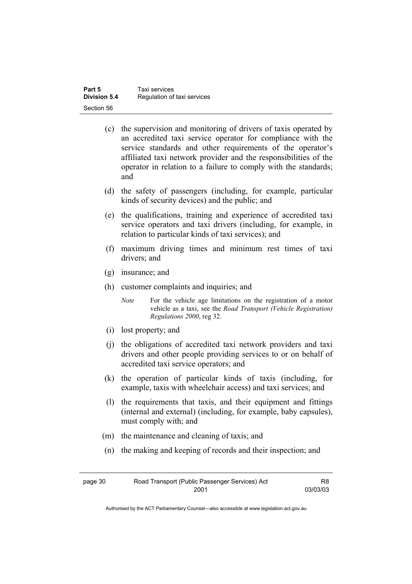| Part 5              | Taxi services               |
|---------------------|-----------------------------|
| <b>Division 5.4</b> | Regulation of taxi services |
| Section 56          |                             |

- (c) the supervision and monitoring of drivers of taxis operated by an accredited taxi service operator for compliance with the service standards and other requirements of the operator's affiliated taxi network provider and the responsibilities of the operator in relation to a failure to comply with the standards; and
- (d) the safety of passengers (including, for example, particular kinds of security devices) and the public; and
- (e) the qualifications, training and experience of accredited taxi service operators and taxi drivers (including, for example, in relation to particular kinds of taxi services); and
- (f) maximum driving times and minimum rest times of taxi drivers; and
- (g) insurance; and
- (h) customer complaints and inquiries; and

*Note* For the vehicle age limitations on the registration of a motor vehicle as a taxi, see the *Road Transport (Vehicle Registration) Regulations 2000*, reg 32.

- (i) lost property; and
- (j) the obligations of accredited taxi network providers and taxi drivers and other people providing services to or on behalf of accredited taxi service operators; and
- (k) the operation of particular kinds of taxis (including, for example, taxis with wheelchair access) and taxi services; and
- (l) the requirements that taxis, and their equipment and fittings (internal and external) (including, for example, baby capsules), must comply with; and
- (m) the maintenance and cleaning of taxis; and
- (n) the making and keeping of records and their inspection; and

| page 30 | Road Transport (Public Passenger Services) Act | R <sub>8</sub> |
|---------|------------------------------------------------|----------------|
|         | 2001                                           | 03/03/03       |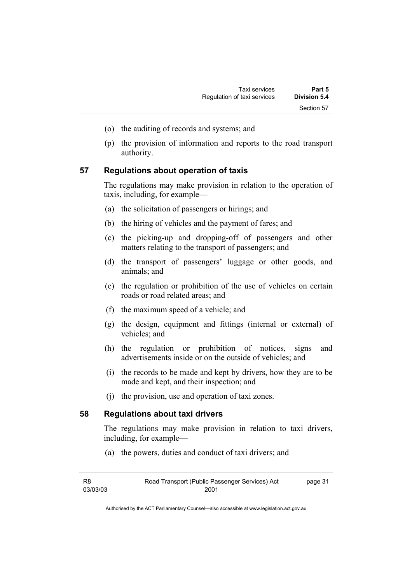- (o) the auditing of records and systems; and
- (p) the provision of information and reports to the road transport authority.

#### **57 Regulations about operation of taxis**

The regulations may make provision in relation to the operation of taxis, including, for example—

- (a) the solicitation of passengers or hirings; and
- (b) the hiring of vehicles and the payment of fares; and
- (c) the picking-up and dropping-off of passengers and other matters relating to the transport of passengers; and
- (d) the transport of passengers' luggage or other goods, and animals; and
- (e) the regulation or prohibition of the use of vehicles on certain roads or road related areas; and
- (f) the maximum speed of a vehicle; and
- (g) the design, equipment and fittings (internal or external) of vehicles; and
- (h) the regulation or prohibition of notices, signs and advertisements inside or on the outside of vehicles; and
- (i) the records to be made and kept by drivers, how they are to be made and kept, and their inspection; and
- (j) the provision, use and operation of taxi zones.

#### **58 Regulations about taxi drivers**

The regulations may make provision in relation to taxi drivers, including, for example—

(a) the powers, duties and conduct of taxi drivers; and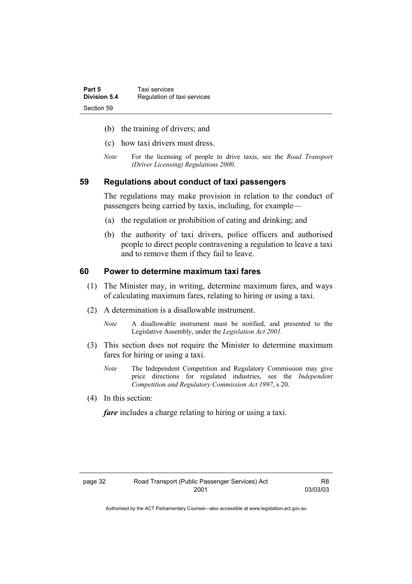| Part 5       | Taxi services               |
|--------------|-----------------------------|
| Division 5.4 | Regulation of taxi services |
| Section 59   |                             |

- (b) the training of drivers; and
- (c) how taxi drivers must dress.
- *Note* For the licensing of people to drive taxis, see the *Road Transport (Driver Licensing) Regulations 2000*.

#### **59 Regulations about conduct of taxi passengers**

The regulations may make provision in relation to the conduct of passengers being carried by taxis, including, for example—

- (a) the regulation or prohibition of eating and drinking; and
- (b) the authority of taxi drivers, police officers and authorised people to direct people contravening a regulation to leave a taxi and to remove them if they fail to leave.

#### **60 Power to determine maximum taxi fares**

- (1) The Minister may, in writing, determine maximum fares, and ways of calculating maximum fares, relating to hiring or using a taxi.
- (2) A determination is a disallowable instrument.
	- *Note* A disallowable instrument must be notified, and presented to the Legislative Assembly, under the *Legislation Act 2001*.
- (3) This section does not require the Minister to determine maximum fares for hiring or using a taxi.
	- *Note* The Independent Competition and Regulatory Commission may give price directions for regulated industries, see the *Independent Competition and Regulatory Commission Act 1997*, s 20.
- (4) In this section:

*fare* includes a charge relating to hiring or using a taxi.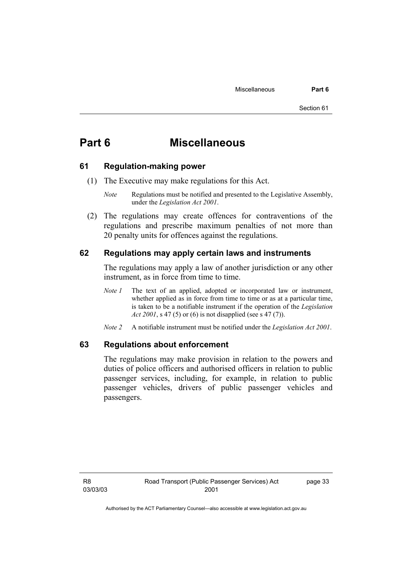## **Part 6 Miscellaneous**

#### **61 Regulation-making power**

- (1) The Executive may make regulations for this Act.
	- *Note* Regulations must be notified and presented to the Legislative Assembly, under the *Legislation Act 2001*.
- (2) The regulations may create offences for contraventions of the regulations and prescribe maximum penalties of not more than 20 penalty units for offences against the regulations.

#### **62 Regulations may apply certain laws and instruments**

The regulations may apply a law of another jurisdiction or any other instrument, as in force from time to time.

- *Note 1* The text of an applied, adopted or incorporated law or instrument, whether applied as in force from time to time or as at a particular time, is taken to be a notifiable instrument if the operation of the *Legislation Act 2001*, s 47 (5) or (6) is not disapplied (see s 47 (7)).
- *Note 2* A notifiable instrument must be notified under the *Legislation Act 2001*.

#### **63 Regulations about enforcement**

The regulations may make provision in relation to the powers and duties of police officers and authorised officers in relation to public passenger services, including, for example, in relation to public passenger vehicles, drivers of public passenger vehicles and passengers.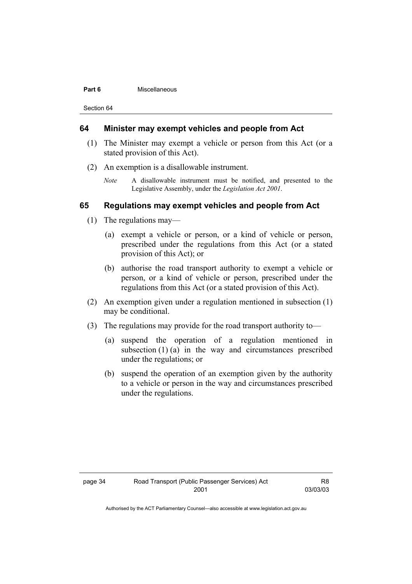#### **Part 6 Miscellaneous**

Section 64

#### **64 Minister may exempt vehicles and people from Act**

- (1) The Minister may exempt a vehicle or person from this Act (or a stated provision of this Act).
- (2) An exemption is a disallowable instrument.
	- *Note* A disallowable instrument must be notified, and presented to the Legislative Assembly, under the *Legislation Act 2001*.

#### **65 Regulations may exempt vehicles and people from Act**

- (1) The regulations may—
	- (a) exempt a vehicle or person, or a kind of vehicle or person, prescribed under the regulations from this Act (or a stated provision of this Act); or
	- (b) authorise the road transport authority to exempt a vehicle or person, or a kind of vehicle or person, prescribed under the regulations from this Act (or a stated provision of this Act).
- (2) An exemption given under a regulation mentioned in subsection (1) may be conditional.
- (3) The regulations may provide for the road transport authority to—
	- (a) suspend the operation of a regulation mentioned in subsection (1) (a) in the way and circumstances prescribed under the regulations; or
	- (b) suspend the operation of an exemption given by the authority to a vehicle or person in the way and circumstances prescribed under the regulations.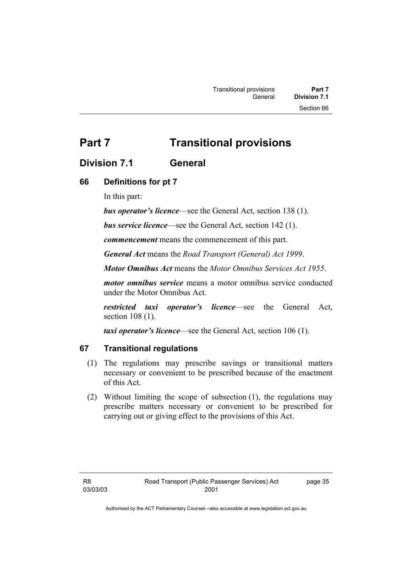## **Part 7** Transitional provisions

### **Division 7.1 General**

### **66 Definitions for pt 7**

In this part:

*bus operator's licence*—see the General Act, section 138 (1).

*bus service licence*—see the General Act, section 142 (1).

*commencement* means the commencement of this part.

*General Act* means the *Road Transport (General) Act 1999*.

*Motor Omnibus Act* means the *Motor Omnibus Services Act 1955*.

*motor omnibus service* means a motor omnibus service conducted under the Motor Omnibus Act.

*restricted taxi operator's licence*—see the General Act, section 108 (1).

*taxi operator's licence*—see the General Act, section 106 (1).

#### **67 Transitional regulations**

- (1) The regulations may prescribe savings or transitional matters necessary or convenient to be prescribed because of the enactment of this Act.
- (2) Without limiting the scope of subsection (1), the regulations may prescribe matters necessary or convenient to be prescribed for carrying out or giving effect to the provisions of this Act.

page 35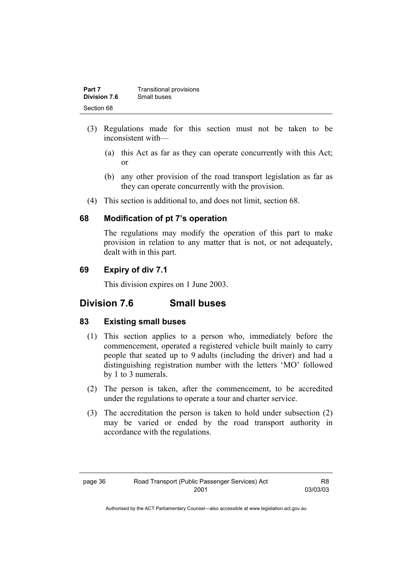| Part 7              | <b>Transitional provisions</b> |
|---------------------|--------------------------------|
| <b>Division 7.6</b> | Small buses                    |
| Section 68          |                                |

- (3) Regulations made for this section must not be taken to be inconsistent with—
	- (a) this Act as far as they can operate concurrently with this Act; or
	- (b) any other provision of the road transport legislation as far as they can operate concurrently with the provision.
- (4) This section is additional to, and does not limit, section 68.

#### **68 Modification of pt 7's operation**

The regulations may modify the operation of this part to make provision in relation to any matter that is not, or not adequately, dealt with in this part.

### **69 Expiry of div 7.1**

This division expires on 1 June 2003.

### **Division 7.6 Small buses**

#### **83 Existing small buses**

- (1) This section applies to a person who, immediately before the commencement, operated a registered vehicle built mainly to carry people that seated up to 9 adults (including the driver) and had a distinguishing registration number with the letters 'MO' followed by 1 to 3 numerals.
- (2) The person is taken, after the commencement, to be accredited under the regulations to operate a tour and charter service.
- (3) The accreditation the person is taken to hold under subsection (2) may be varied or ended by the road transport authority in accordance with the regulations.

R8 03/03/03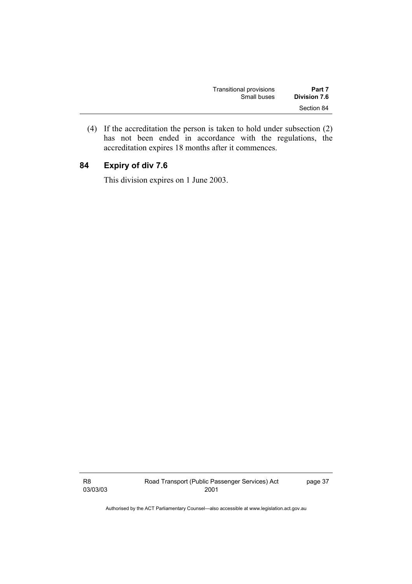| Transitional provisions | Part 7       |
|-------------------------|--------------|
| Small buses             | Division 7.6 |
|                         | Section 84   |

 (4) If the accreditation the person is taken to hold under subsection (2) has not been ended in accordance with the regulations, the accreditation expires 18 months after it commences.

### **84 Expiry of div 7.6**

This division expires on 1 June 2003.

R8 03/03/03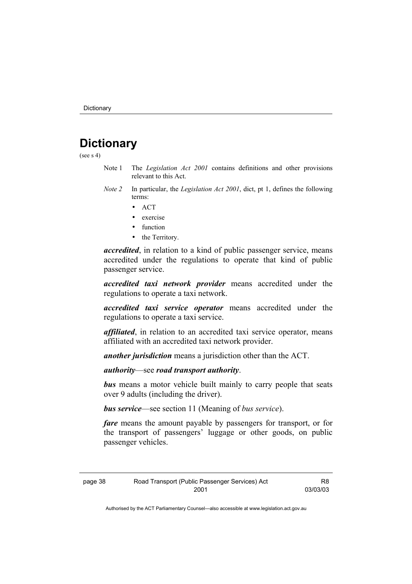## **Dictionary**

(see  $s$  4)

- Note 1 The *Legislation Act 2001* contains definitions and other provisions relevant to this Act.
- *Note 2* In particular, the *Legislation Act 2001*, dict, pt 1, defines the following terms:
	- ACT
	- exercise
	- function
	- the Territory.

*accredited*, in relation to a kind of public passenger service, means accredited under the regulations to operate that kind of public passenger service.

*accredited taxi network provider* means accredited under the regulations to operate a taxi network.

*accredited taxi service operator* means accredited under the regulations to operate a taxi service.

*affiliated*, in relation to an accredited taxi service operator, means affiliated with an accredited taxi network provider.

*another jurisdiction* means a jurisdiction other than the ACT.

*authority*—see *road transport authority*.

*bus* means a motor vehicle built mainly to carry people that seats over 9 adults (including the driver).

*bus service*—see section 11 (Meaning of *bus service*).

*fare* means the amount payable by passengers for transport, or for the transport of passengers' luggage or other goods, on public passenger vehicles.

R8 03/03/03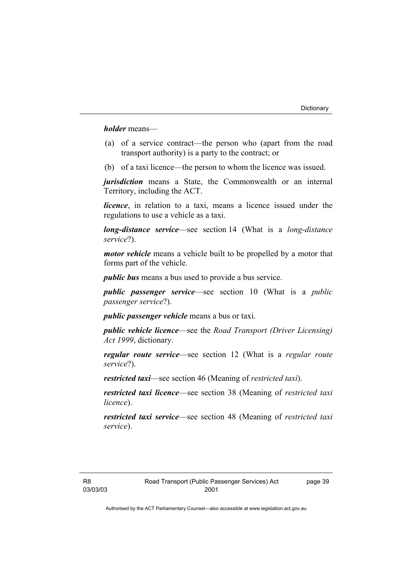*holder* means—

- (a) of a service contract—the person who (apart from the road transport authority) is a party to the contract; or
- (b) of a taxi licence—the person to whom the licence was issued.

*jurisdiction* means a State, the Commonwealth or an internal Territory, including the ACT.

*licence*, in relation to a taxi, means a licence issued under the regulations to use a vehicle as a taxi.

*long-distance service*—see section 14 (What is a *long-distance service*?).

*motor vehicle* means a vehicle built to be propelled by a motor that forms part of the vehicle.

*public bus* means a bus used to provide a bus service.

*public passenger service*—see section 10 (What is a *public passenger service*?).

*public passenger vehicle* means a bus or taxi.

*public vehicle licence*—see the *Road Transport (Driver Licensing) Act 1999*, dictionary.

*regular route service*—see section 12 (What is a *regular route service*?).

*restricted taxi*—see section 46 (Meaning of *restricted taxi*).

*restricted taxi licence*—see section 38 (Meaning of *restricted taxi licence*).

*restricted taxi service*—see section 48 (Meaning of *restricted taxi service*).

page 39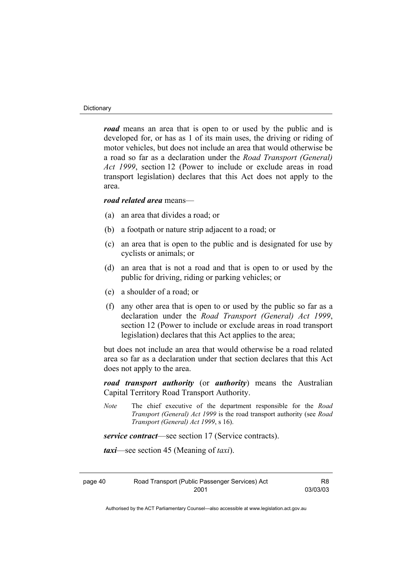#### **Dictionary**

*road* means an area that is open to or used by the public and is developed for, or has as 1 of its main uses, the driving or riding of motor vehicles, but does not include an area that would otherwise be a road so far as a declaration under the *Road Transport (General) Act 1999*, section 12 (Power to include or exclude areas in road transport legislation) declares that this Act does not apply to the area.

#### *road related area* means—

- (a) an area that divides a road; or
- (b) a footpath or nature strip adjacent to a road; or
- (c) an area that is open to the public and is designated for use by cyclists or animals; or
- (d) an area that is not a road and that is open to or used by the public for driving, riding or parking vehicles; or
- (e) a shoulder of a road; or
- (f) any other area that is open to or used by the public so far as a declaration under the *Road Transport (General) Act 1999*, section 12 (Power to include or exclude areas in road transport legislation) declares that this Act applies to the area;

but does not include an area that would otherwise be a road related area so far as a declaration under that section declares that this Act does not apply to the area.

*road transport authority* (or *authority*) means the Australian Capital Territory Road Transport Authority.

*Note* The chief executive of the department responsible for the *Road Transport (General) Act 1999* is the road transport authority (see *Road Transport (General) Act 1999*, s 16).

*service contract*—see section 17 (Service contracts).

*taxi*—see section 45 (Meaning of *taxi*).

page 40 Road Transport (Public Passenger Services) Act 2001

R8 03/03/03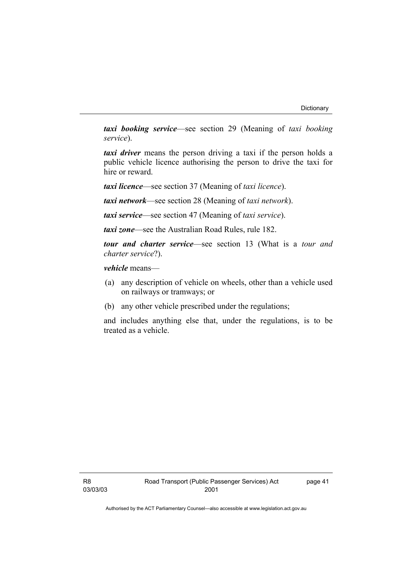*taxi booking service*—see section 29 (Meaning of *taxi booking service*).

*taxi driver* means the person driving a taxi if the person holds a public vehicle licence authorising the person to drive the taxi for hire or reward.

*taxi licence*—see section 37 (Meaning of *taxi licence*).

*taxi network*—see section 28 (Meaning of *taxi network*).

*taxi service*—see section 47 (Meaning of *taxi service*).

*taxi zone*—see the Australian Road Rules, rule 182.

*tour and charter service*—see section 13 (What is a *tour and charter service*?).

*vehicle* means—

- (a) any description of vehicle on wheels, other than a vehicle used on railways or tramways; or
- (b) any other vehicle prescribed under the regulations;

and includes anything else that, under the regulations, is to be treated as a vehicle.

page 41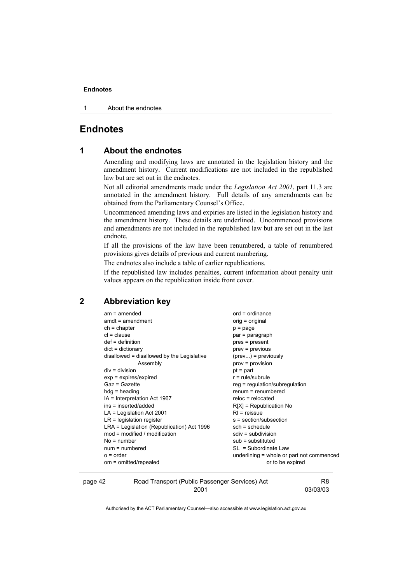1 About the endnotes

### **Endnotes**

#### **1 About the endnotes**

Amending and modifying laws are annotated in the legislation history and the amendment history. Current modifications are not included in the republished law but are set out in the endnotes.

Not all editorial amendments made under the *Legislation Act 2001*, part 11.3 are annotated in the amendment history. Full details of any amendments can be obtained from the Parliamentary Counsel's Office.

Uncommenced amending laws and expiries are listed in the legislation history and the amendment history. These details are underlined. Uncommenced provisions and amendments are not included in the republished law but are set out in the last endnote.

If all the provisions of the law have been renumbered, a table of renumbered provisions gives details of previous and current numbering.

The endnotes also include a table of earlier republications.

If the republished law includes penalties, current information about penalty unit values appears on the republication inside front cover.

### **2 Abbreviation key**

| $am = amended$                               | $ord = ordinance$                         |
|----------------------------------------------|-------------------------------------------|
| $amdt = amendment$                           | orig = original                           |
| $ch = chapter$                               | p = page                                  |
| $cl = clause$                                | par = paragraph                           |
| $def = definition$                           | pres = present                            |
| $dict = dictionary$                          | prev = previous                           |
| disallowed = disallowed by the Legislative   | $(\text{prev})$ = previously              |
| Assembly                                     | prov = provision                          |
| $div = division$                             | $pt = part$                               |
| $exp = expires/expired$                      | $r = rule/subrule$                        |
| Gaz = Gazette                                | reg = regulation/subregulation            |
| $hdg =$ heading                              | $renum = renumbered$                      |
| IA = Interpretation Act 1967                 | $reloc = relocated$                       |
| ins = inserted/added                         | $R[X]$ = Republication No                 |
| $LA =$ Legislation Act 2001                  | $RI = reissue$                            |
| $LR =$ legislation register                  | s = section/subsection                    |
| $LRA =$ Legislation (Republication) Act 1996 | $sch = schedule$                          |
| $mod = modified / modified$                  | $sdiv = subdivision$                      |
| $No = number$                                | $sub =$ substituted                       |
| $num = numbered$                             | SL = Subordinate Law                      |
| $o = order$                                  | underlining = whole or part not commenced |
| om = omitted/repealed                        | or to be expired                          |
|                                              |                                           |

| page 42 | Road Transport (Public Passenger Services) Act |          |
|---------|------------------------------------------------|----------|
|         | 2001                                           | 03/03/03 |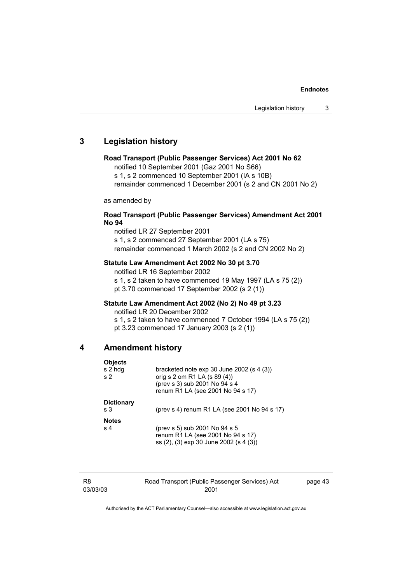### **3 Legislation history**

#### **Road Transport (Public Passenger Services) Act 2001 No 62**

notified 10 September 2001 (Gaz 2001 No S66)

s 1, s 2 commenced 10 September 2001 (IA s 10B)

remainder commenced 1 December 2001 (s 2 and CN 2001 No 2)

as amended by

#### **Road Transport (Public Passenger Services) Amendment Act 2001 No 94**

notified LR 27 September 2001 s 1, s 2 commenced 27 September 2001 (LA s 75) remainder commenced 1 March 2002 (s 2 and CN 2002 No 2)

#### **Statute Law Amendment Act 2002 No 30 pt 3.70**

notified LR 16 September 2002 s 1, s 2 taken to have commenced 19 May 1997 (LA s 75 (2)) pt 3.70 commenced 17 September 2002 (s 2 (1))

#### **Statute Law Amendment Act 2002 (No 2) No 49 pt 3.23**

notified LR 20 December 2002

s 1, s 2 taken to have commenced 7 October 1994 (LA s 75 (2)) pt 3.23 commenced 17 January 2003 (s 2 (1))

#### **4 Amendment history**

| <b>Objects</b><br>s 2 hdg<br>s <sub>2</sub> | bracketed note $exp 30$ June 2002 (s 4 (3))<br>orig s 2 om R1 LA (s 89 (4))<br>(prev s 3) sub 2001 No 94 s 4<br>renum R1 LA (see 2001 No 94 s 17) |
|---------------------------------------------|---------------------------------------------------------------------------------------------------------------------------------------------------|
| <b>Dictionary</b><br>s <sub>3</sub>         | (prev s 4) renum R1 LA (see 2001 No 94 s 17)                                                                                                      |
| <b>Notes</b><br>s <sub>4</sub>              | (prev s 5) sub 2001 No 94 s 5<br>renum R1 LA (see 2001 No 94 s 17)<br>ss (2), (3) exp 30 June 2002 (s 4 (3))                                      |

| R8       | Road Transport (Public Passenger Services) Act | page 43 |
|----------|------------------------------------------------|---------|
| 03/03/03 | 2001                                           |         |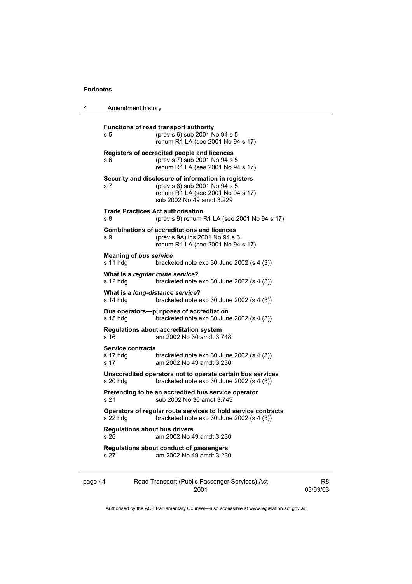4 Amendment history

| s 5                                          | <b>Functions of road transport authority</b><br>(prev s 6) sub 2001 No 94 s 5<br>renum R1 LA (see 2001 No 94 s 17)                                     |
|----------------------------------------------|--------------------------------------------------------------------------------------------------------------------------------------------------------|
| s 6                                          | Registers of accredited people and licences<br>(prev s 7) sub 2001 No 94 s 5<br>renum R1 LA (see 2001 No 94 s 17)                                      |
| s 7                                          | Security and disclosure of information in registers<br>(prev s 8) sub 2001 No 94 s 5<br>renum R1 LA (see 2001 No 94 s 17)<br>sub 2002 No 49 amdt 3.229 |
| s 8                                          | <b>Trade Practices Act authorisation</b><br>(prev s 9) renum R1 LA (see 2001 No 94 s 17)                                                               |
| s 9                                          | <b>Combinations of accreditations and licences</b><br>(prev s 9A) ins 2001 No 94 s 6<br>renum R1 LA (see 2001 No 94 s 17)                              |
| <b>Meaning of bus service</b><br>s 11 hdg    | bracketed note exp 30 June 2002 (s 4 (3))                                                                                                              |
| What is a regular route service?<br>s 12 hdg | bracketed note $exp 30$ June 2002 (s 4 (3))                                                                                                            |
| s 14 hdq                                     | What is a long-distance service?<br>bracketed note $exp 30$ June 2002 (s 4 (3))                                                                        |
| s 15 hdg                                     | Bus operators—purposes of accreditation<br>bracketed note $exp 30$ June 2002 (s 4 (3))                                                                 |
| s 16                                         | <b>Regulations about accreditation system</b><br>am 2002 No 30 amdt 3.748                                                                              |
| <b>Service contracts</b><br>s 17 hdg<br>s 17 | bracketed note $exp 30$ June 2002 (s 4 (3))<br>am 2002 No 49 amdt 3.230                                                                                |
| s 20 hdg                                     | Unaccredited operators not to operate certain bus services<br>bracketed note $exp 30$ June 2002 (s 4 (3))                                              |
|                                              | Pretending to be an accredited bus service operator                                                                                                    |
| s 21                                         | sub 2002 No 30 amdt 3.749                                                                                                                              |
| s 22 hdg                                     | Operators of regular route services to hold service contracts<br>bracketed note $exp 30$ June 2002 (s 4 (3))                                           |
| <b>Regulations about bus drivers</b><br>s 26 | am 2002 No 49 amdt 3.230                                                                                                                               |

Authorised by the ACT Parliamentary Counsel—also accessible at www.legislation.act.gov.au

R8 03/03/03

2001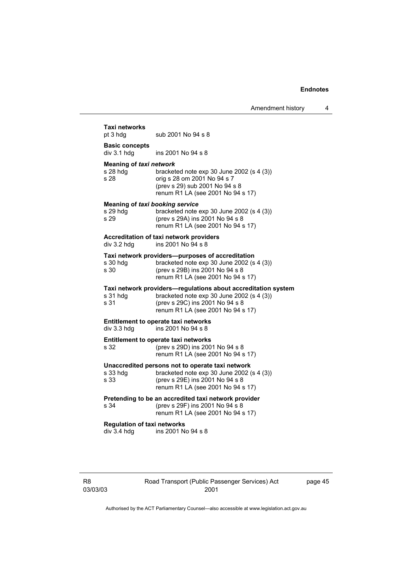| pt 3 hdg                                                   | sub 2001 No 94 s 8                                                                                                                                                                 |
|------------------------------------------------------------|------------------------------------------------------------------------------------------------------------------------------------------------------------------------------------|
| <b>Basic concepts</b><br>div 3.1 hdg                       | ins 2001 No 94 s 8                                                                                                                                                                 |
| <b>Meaning of taxi network</b><br>s 28 hdq<br>s 28         | bracketed note exp 30 June 2002 (s 4 (3))<br>orig s 28 om 2001 No 94 s 7<br>(prev s 29) sub 2001 No 94 s 8<br>renum R1 LA (see 2001 No 94 s 17)                                    |
| <b>Meaning of taxi booking service</b><br>s 29 hdq<br>s 29 | bracketed note exp 30 June 2002 (s 4 (3))<br>(prev s 29A) ins 2001 No 94 s 8<br>renum R1 LA (see 2001 No 94 s 17)                                                                  |
| div 3.2 hdg                                                | Accreditation of taxi network providers<br>ins 2001 No 94 s 8                                                                                                                      |
| s 30 hdg<br>s 30                                           | Taxi network providers-purposes of accreditation<br>bracketed note exp 30 June 2002 (s 4 (3))<br>(prev s 29B) ins 2001 No 94 s 8<br>renum R1 LA (see 2001 No 94 s 17)              |
| s 31 hdg<br>s 31                                           | Taxi network providers-regulations about accreditation system<br>bracketed note exp 30 June 2002 (s 4 (3))<br>(prev s 29C) ins 2001 No 94 s 8<br>renum R1 LA (see 2001 No 94 s 17) |
| div 3.3 hdg                                                | <b>Entitlement to operate taxi networks</b><br>ins 2001 No 94 s 8                                                                                                                  |
| s 32                                                       | <b>Entitlement to operate taxi networks</b><br>(prev s 29D) ins 2001 No 94 s 8<br>renum R1 LA (see 2001 No 94 s 17)                                                                |
| s 33 hda<br>s 33                                           | Unaccredited persons not to operate taxi network<br>bracketed note exp 30 June 2002 (s 4 (3))<br>(prev s 29E) ins 2001 No 94 s 8<br>renum R1 LA (see 2001 No 94 s 17)              |
| s 34                                                       | Pretending to be an accredited taxi network provider<br>(prev s 29F) ins 2001 No 94 s 8<br>renum R1 LA (see 2001 No 94 s 17)                                                       |
| <b>Regulation of taxi networks</b>                         | ins 2001 No 94 s 8                                                                                                                                                                 |

R8 03/03/03 Road Transport (Public Passenger Services) Act 2001

page 45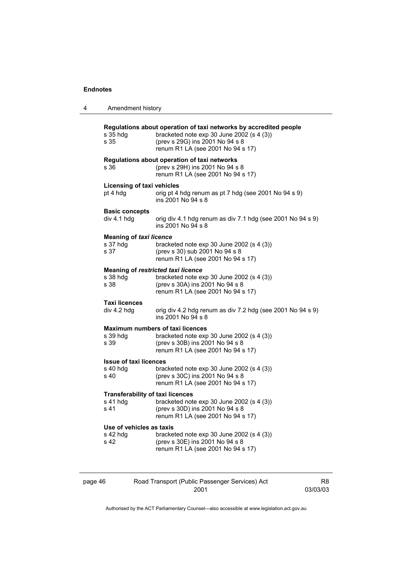| 4 | Amendment history                                                                                                            |                                                                                                                                                                                        |  |
|---|------------------------------------------------------------------------------------------------------------------------------|----------------------------------------------------------------------------------------------------------------------------------------------------------------------------------------|--|
|   | s 35 hdg<br>s 35                                                                                                             | Regulations about operation of taxi networks by accredited people<br>bracketed note exp 30 June 2002 (s 4 (3))<br>(prev s 29G) ins 2001 No 94 s 8<br>renum R1 LA (see 2001 No 94 s 17) |  |
|   | Regulations about operation of taxi networks<br>s 36<br>(prev s 29H) ins 2001 No 94 s 8<br>renum R1 LA (see 2001 No 94 s 17) |                                                                                                                                                                                        |  |
|   | <b>Licensing of taxi vehicles</b><br>pt 4 hdg                                                                                | orig pt 4 hdg renum as pt 7 hdg (see 2001 No 94 s 9)<br>ins 2001 No 94 s 8                                                                                                             |  |
|   | <b>Basic concepts</b><br>div 4.1 hdg                                                                                         | orig div 4.1 hdg renum as div 7.1 hdg (see 2001 No 94 s 9)<br>ins 2001 No 94 s 8                                                                                                       |  |
|   | <b>Meaning of taxi licence</b><br>s 37 hdg<br>s 37                                                                           | bracketed note $exp 30$ June 2002 (s 4 (3))<br>(prev s 30) sub 2001 No 94 s 8<br>renum R1 LA (see 2001 No 94 s 17)                                                                     |  |
|   | s 38 hdg<br>s 38                                                                                                             | <b>Meaning of restricted taxi licence</b><br>bracketed note $exp 30$ June 2002 (s 4 (3))<br>(prev s 30A) ins 2001 No 94 s 8<br>renum R1 LA (see 2001 No 94 s 17)                       |  |
|   | <b>Taxi licences</b><br>div 4.2 hdg                                                                                          | orig div 4.2 hdg renum as div 7.2 hdg (see 2001 No 94 s 9)<br>ins 2001 No 94 s 8                                                                                                       |  |
|   | s 39 hdg<br>s 39                                                                                                             | <b>Maximum numbers of taxi licences</b><br>bracketed note $exp 30$ June 2002 (s 4 (3))<br>(prev s 30B) ins 2001 No 94 s 8<br>renum R1 LA (see 2001 No 94 s 17)                         |  |
|   | <b>Issue of taxi licences</b><br>$s$ 40 hdg<br>s 40                                                                          | bracketed note $exp 30$ June 2002 (s 4 (3))<br>(prev s 30C) ins 2001 No 94 s 8<br>renum R1 LA (see 2001 No 94 s 17)                                                                    |  |
|   | <b>Transferability of taxi licences</b><br>s 41 hdg<br>s 41                                                                  | bracketed note $exp 30$ June 2002 (s 4 (3))<br>(prev s 30D) ins 2001 No 94 s 8<br>renum R1 LA (see 2001 No 94 s 17)                                                                    |  |
|   | Use of vehicles as taxis<br>s 42 hdg<br>s 42                                                                                 | bracketed note $exp 30$ June 2002 (s 4 (3))<br>(prev s 30E) ins 2001 No 94 s 8<br>renum R1 LA (see 2001 No 94 s 17)                                                                    |  |
|   |                                                                                                                              |                                                                                                                                                                                        |  |

page 46 Road Transport (Public Passenger Services) Act 2001 R8 03/03/03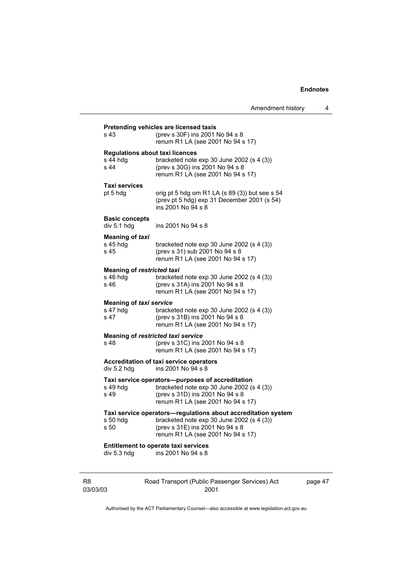|                                    | Amendment history                                                                             |
|------------------------------------|-----------------------------------------------------------------------------------------------|
|                                    | Pretending vehicles are licensed taxis                                                        |
| s 43                               | (prev s 30F) ins 2001 No 94 s 8<br>renum R1 LA (see 2001 No 94 s 17)                          |
|                                    | <b>Regulations about taxi licences</b>                                                        |
| $s$ 44 hdg<br>s 44                 | bracketed note $exp 30$ June 2002 (s 4 (3))                                                   |
|                                    | (prev s 30G) ins 2001 No 94 s 8<br>renum R1 LA (see 2001 No 94 s 17)                          |
| Taxi services                      |                                                                                               |
| pt 5 hdg                           | orig pt 5 hdg om R1 LA (s 89 (3)) but see s 54                                                |
|                                    | (prev pt 5 hdg) exp 31 December 2001 (s 54)<br>ins 2001 No 94 s 8                             |
| <b>Basic concepts</b>              |                                                                                               |
| div 5.1 hdg                        | ins 2001 No 94 s 8                                                                            |
| <b>Meaning of taxi</b><br>s 45 hdg | bracketed note $exp 30$ June 2002 (s 4 (3))                                                   |
| s 45                               | (prev s 31) sub 2001 No 94 s 8                                                                |
|                                    | renum R1 LA (see 2001 No 94 s 17)                                                             |
| <b>Meaning of restricted taxi</b>  |                                                                                               |
| s 46 hdg                           | bracketed note $exp 30$ June 2002 (s 4 (3))                                                   |
| s 46                               | (prev s 31A) ins 2001 No 94 s 8<br>renum R1 LA (see 2001 No 94 s 17)                          |
| <b>Meaning of taxi service</b>     |                                                                                               |
| s 47 hdg                           | bracketed note $exp 30$ June 2002 (s 4 (3))                                                   |
| s 47                               | (prev s 31B) ins 2001 No 94 s 8<br>renum R1 LA (see 2001 No 94 s 17)                          |
|                                    |                                                                                               |
| s 48                               | Meaning of restricted taxi service<br>(prev s 31C) ins 2001 No 94 s 8                         |
|                                    | renum R1 LA (see 2001 No 94 s 17)                                                             |
|                                    | Accreditation of taxi service operators                                                       |
| div 5.2 hdg                        | ins 2001 No 94 s 8                                                                            |
| s 49 hdg                           | Taxi service operators-purposes of accreditation<br>bracketed note exp 30 June 2002 (s 4 (3)) |
| s 49                               | (prev s 31D) ins 2001 No 94 s 8                                                               |
|                                    | renum R1 LA (see 2001 No 94 s 17)                                                             |
|                                    | Taxi service operators-regulations about accreditation system                                 |
| s 50 hdg                           | bracketed note $exp 30$ June 2002 (s 4 (3))                                                   |
| s 50                               | (prev s 31E) ins 2001 No 94 s 8<br>renum R1 LA (see 2001 No 94 s 17)                          |
|                                    | <b>Entitlement to operate taxi services</b>                                                   |
| div 5.3 hdg                        | ins 2001 No 94 s 8                                                                            |

R8 03/03/03 Road Transport (Public Passenger Services) Act 2001

page 47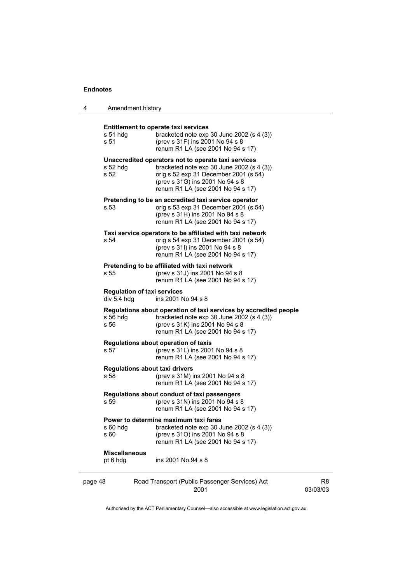| 4 | Amendment history                                                          |                                                                                                                                                                                                                     |  |
|---|----------------------------------------------------------------------------|---------------------------------------------------------------------------------------------------------------------------------------------------------------------------------------------------------------------|--|
|   | s 51 hdg<br>s 51                                                           | <b>Entitlement to operate taxi services</b><br>bracketed note $exp 30$ June 2002 (s 4 (3))<br>(prev s 31F) ins 2001 No 94 s 8<br>renum R1 LA (see 2001 No 94 s 17)                                                  |  |
|   | s 52 hdg<br>s 52                                                           | Unaccredited operators not to operate taxi services<br>bracketed note $exp 30$ June 2002 (s 4 (3))<br>orig s 52 exp 31 December 2001 (s 54)<br>(prev s 31G) ins 2001 No 94 s 8<br>renum R1 LA (see 2001 No 94 s 17) |  |
|   | s 53                                                                       | Pretending to be an accredited taxi service operator<br>orig s 53 exp 31 December 2001 (s 54)<br>(prev s 31H) ins 2001 No 94 s 8<br>renum R1 LA (see 2001 No 94 s 17)                                               |  |
|   | s 54                                                                       | Taxi service operators to be affiliated with taxi network<br>orig s 54 exp 31 December 2001 (s 54)<br>(prev s 31l) ins 2001 No 94 s 8<br>renum R1 LA (see 2001 No 94 s 17)                                          |  |
|   | s 55                                                                       | Pretending to be affiliated with taxi network<br>(prev s 31J) ins 2001 No 94 s 8<br>renum R1 LA (see 2001 No 94 s 17)                                                                                               |  |
|   | <b>Regulation of taxi services</b><br>div 5.4 hdg                          | ins 2001 No 94 s 8                                                                                                                                                                                                  |  |
|   | s 56 hdg<br>s 56                                                           | Regulations about operation of taxi services by accredited people<br>bracketed note $exp 30$ June 2002 (s 4 (3))<br>(prev s 31K) ins 2001 No 94 s 8<br>renum R1 LA (see 2001 No 94 s 17)                            |  |
|   | s 57                                                                       | Regulations about operation of taxis<br>(prev s 31L) ins 2001 No 94 s 8<br>renum R1 LA (see 2001 No 94 s 17)                                                                                                        |  |
|   | <b>Regulations about taxi drivers</b><br>s 58                              | (prev s 31M) ins 2001 No 94 s 8<br>renum R1 LA (see 2001 No 94 s 17)                                                                                                                                                |  |
|   | s 59                                                                       | Regulations about conduct of taxi passengers<br>(prev s 31N) ins 2001 No 94 s 8<br>renum R1 LA (see 2001 No 94 s 17)                                                                                                |  |
|   | $s$ 60 hdg<br>s 60                                                         | Power to determine maximum taxi fares<br>bracketed note $exp 30$ June 2002 (s 4 (3))<br>(prev s 310) ins 2001 No 94 s 8<br>renum R1 LA (see 2001 No 94 s 17)                                                        |  |
|   | <b>Miscellaneous</b><br>pt 6 hdg                                           | ins 2001 No 94 s 8                                                                                                                                                                                                  |  |
|   | Road Transport (Public Passenger Services) Act<br>page 48<br>2001<br>03/03 |                                                                                                                                                                                                                     |  |

R8 03/03/03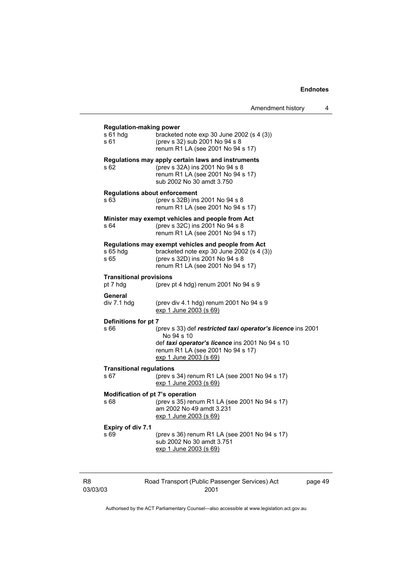| Amendment history |  |
|-------------------|--|
|-------------------|--|

| s 61                       | <b>Regulation-making power</b><br>s 61 hdg | bracketed note $exp 30$ June 2002 (s 4 (3))<br>(prev s 32) sub 2001 No 94 s 8<br>renum R1 LA (see 2001 No 94 s 17)                                                                          |         |
|----------------------------|--------------------------------------------|---------------------------------------------------------------------------------------------------------------------------------------------------------------------------------------------|---------|
| s 62                       |                                            | Regulations may apply certain laws and instruments<br>(prev s 32A) ins 2001 No 94 s 8<br>renum R1 LA (see 2001 No 94 s 17)<br>sub 2002 No 30 amdt 3.750                                     |         |
| s 63                       | <b>Regulations about enforcement</b>       | (prev s 32B) ins 2001 No 94 s 8<br>renum R1 LA (see 2001 No 94 s 17)                                                                                                                        |         |
| s 64                       |                                            | Minister may exempt vehicles and people from Act<br>(prev s 32C) ins 2001 No 94 s 8<br>renum R1 LA (see 2001 No 94 s 17)                                                                    |         |
| s 65                       | $s$ 65 hdg                                 | Regulations may exempt vehicles and people from Act<br>bracketed note exp 30 June 2002 (s 4 (3))<br>(prev s 32D) ins 2001 No 94 s 8<br>renum R1 LA (see 2001 No 94 s 17)                    |         |
|                            | <b>Transitional provisions</b><br>pt 7 hdg | (prev pt 4 hdg) renum 2001 No 94 s 9                                                                                                                                                        |         |
|                            | General<br>div 7.1 hdg                     | (prev div 4.1 hdg) renum 2001 No 94 s 9<br>exp 1 June 2003 (s 69)                                                                                                                           |         |
| s 66                       | Definitions for pt 7                       | (prev s 33) def restricted taxi operator's licence ins 2001<br>No 94 s 10<br>def taxi operator's licence ins 2001 No 94 s 10<br>renum R1 LA (see 2001 No 94 s 17)<br>exp 1 June 2003 (s 69) |         |
| s 67                       | <b>Transitional regulations</b>            | (prev s 34) renum R1 LA (see 2001 No 94 s 17)<br>exp 1 June 2003 (s 69)                                                                                                                     |         |
| s 68                       | Modification of pt 7's operation           | (prev s 35) renum R1 LA (see 2001 No 94 s 17)<br>am 2002 No 49 amdt 3.231<br>exp 1 June 2003 (s 69)                                                                                         |         |
| s 69                       | <b>Expiry of div 7.1</b>                   | (prev s 36) renum R1 LA (see 2001 No 94 s 17)<br>sub 2002 No 30 amdt 3.751<br>exp 1 June 2003 (s 69)                                                                                        |         |
| R <sub>8</sub><br>03/03/03 |                                            | Road Transport (Public Passenger Services) Act<br>2001                                                                                                                                      | page 49 |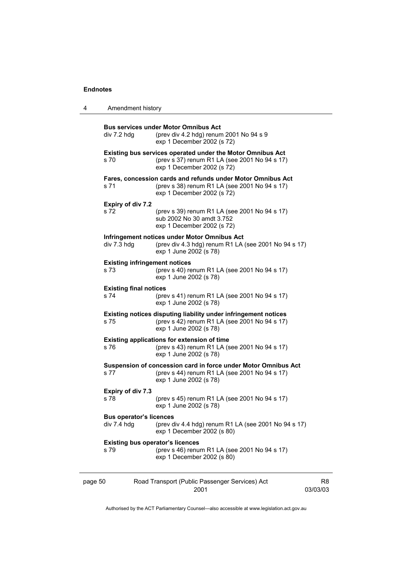| 4                                                                                                                | Amendment history                               |                                                                                                                                                  |                |
|------------------------------------------------------------------------------------------------------------------|-------------------------------------------------|--------------------------------------------------------------------------------------------------------------------------------------------------|----------------|
|                                                                                                                  | div 7.2 hdg                                     | <b>Bus services under Motor Omnibus Act</b><br>(prev div 4.2 hdg) renum 2001 No 94 s 9<br>exp 1 December 2002 (s 72)                             |                |
|                                                                                                                  | s 70                                            | <b>Existing bus services operated under the Motor Omnibus Act</b><br>(prev s 37) renum R1 LA (see 2001 No 94 s 17)<br>exp 1 December 2002 (s 72) |                |
|                                                                                                                  | s 71                                            | Fares, concession cards and refunds under Motor Omnibus Act<br>(prev s 38) renum R1 LA (see 2001 No 94 s 17)<br>exp 1 December 2002 (s 72)       |                |
|                                                                                                                  | Expiry of div 7.2<br>s 72                       | (prev s 39) renum R1 LA (see 2001 No 94 s 17)<br>sub 2002 No 30 amdt 3.752<br>exp 1 December 2002 (s 72)                                         |                |
| Infringement notices under Motor Omnibus Act<br>div 7.3 hdg<br>exp 1 June 2002 (s 78)                            |                                                 | (prev div 4.3 hdg) renum R1 LA (see 2001 No 94 s 17)                                                                                             |                |
|                                                                                                                  | <b>Existing infringement notices</b><br>s 73    | (prev s 40) renum R1 LA (see 2001 No 94 s 17)<br>exp 1 June 2002 (s 78)                                                                          |                |
| <b>Existing final notices</b><br>s 74<br>(prev s 41) renum R1 LA (see 2001 No 94 s 17)<br>exp 1 June 2002 (s 78) |                                                 |                                                                                                                                                  |                |
|                                                                                                                  | s 75                                            | Existing notices disputing liability under infringement notices<br>(prev s 42) renum R1 LA (see 2001 No 94 s 17)<br>exp 1 June 2002 (s 78)       |                |
| Existing applications for extension of time<br>(prev s 43) renum R1 LA (see 2001 No 94 s 17)<br>s 76             |                                                 | exp 1 June 2002 (s 78)                                                                                                                           |                |
|                                                                                                                  | s 77                                            | Suspension of concession card in force under Motor Omnibus Act<br>(prev s 44) renum R1 LA (see 2001 No 94 s 17)<br>exp 1 June 2002 (s 78)        |                |
| Expiry of div 7.3<br>s 78<br>exp 1 June 2002 (s 78)                                                              |                                                 | (prev s 45) renum R1 LA (see 2001 No 94 s 17)                                                                                                    |                |
|                                                                                                                  | <b>Bus operator's licences</b><br>div 7.4 hdg   | (prev div 4.4 hdg) renum R1 LA (see 2001 No 94 s 17)<br>exp 1 December 2002 (s 80)                                                               |                |
|                                                                                                                  | <b>Existing bus operator's licences</b><br>s 79 | (prev s 46) renum R1 LA (see 2001 No 94 s 17)<br>exp 1 December 2002 (s 80)                                                                      |                |
| page 50                                                                                                          |                                                 | Road Transport (Public Passenger Services) Act<br>2001                                                                                           | R8<br>03/03/03 |

Authorised by the ACT Parliamentary Counsel—also accessible at www.legislation.act.gov.au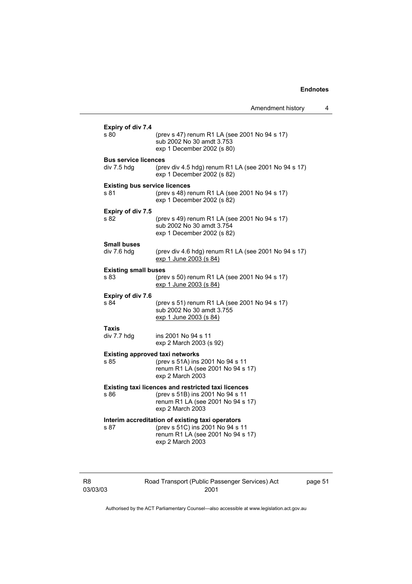| Amendment history |  |
|-------------------|--|
|-------------------|--|

| Expiry of div 7.4<br>s 80            | (prev s 47) renum R1 LA (see 2001 No 94 s 17)<br>sub 2002 No 30 amdt 3.753<br>exp 1 December 2002 (s 80) |
|--------------------------------------|----------------------------------------------------------------------------------------------------------|
| <b>Bus service licences</b>          |                                                                                                          |
| div 7.5 hdg                          | (prev div 4.5 hdg) renum R1 LA (see 2001 No 94 s 17)<br>exp 1 December 2002 (s 82)                       |
| <b>Existing bus service licences</b> |                                                                                                          |
| s 81                                 | (prev s 48) renum R1 LA (see 2001 No 94 s 17)<br>exp 1 December 2002 (s 82)                              |
| Expiry of div 7.5                    |                                                                                                          |
| s 82                                 | (prev s 49) renum R1 LA (see 2001 No 94 s 17)<br>sub 2002 No 30 amdt 3.754<br>exp 1 December 2002 (s 82) |
| <b>Small buses</b>                   |                                                                                                          |
| div 7.6 hdq                          | (prev div 4.6 hdg) renum R1 LA (see 2001 No 94 s 17)<br>exp 1 June 2003 (s 84)                           |
| <b>Existing small buses</b>          |                                                                                                          |
| s 83                                 | (prev s 50) renum R1 LA (see 2001 No 94 s 17)<br>exp 1 June 2003 (s 84)                                  |
| Expiry of div 7.6                    |                                                                                                          |
| s 84                                 | (prev s 51) renum R1 LA (see 2001 No 94 s 17)<br>sub 2002 No 30 amdt 3.755<br>exp 1 June 2003 (s 84)     |
| Taxis                                |                                                                                                          |
| div 7.7 hdg                          | ins 2001 No 94 s 11<br>exp 2 March 2003 (s 92)                                                           |
|                                      | <b>Existing approved taxi networks</b>                                                                   |
| s 85                                 | (prev s 51A) ins 2001 No 94 s 11<br>renum R1 LA (see 2001 No 94 s 17)<br>exp 2 March 2003                |
|                                      | <b>Existing taxi licences and restricted taxi licences</b>                                               |
| s 86                                 | (prev s 51B) ins 2001 No 94 s 11                                                                         |
|                                      | renum R1 LA (see 2001 No 94 s 17)<br>exp 2 March 2003                                                    |
|                                      | Interim accreditation of existing taxi operators                                                         |
| s 87                                 | (prev s 51C) ins 2001 No 94 s 11<br>renum R1 LA (see 2001 No 94 s 17)<br>exp 2 March 2003                |
|                                      |                                                                                                          |

| R8       |  |
|----------|--|
| 03/03/03 |  |

Road Transport (Public Passenger Services) Act 2001

page 51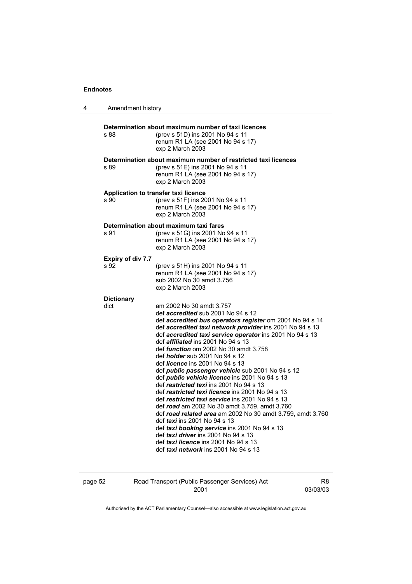| 4 | Amendment history                |                                                                                                                                                                                                                                                                                                                                                                                                                                                                                                                                                                                                                                                                                                                                                                                                                                                                                                                                                                                                                               |
|---|----------------------------------|-------------------------------------------------------------------------------------------------------------------------------------------------------------------------------------------------------------------------------------------------------------------------------------------------------------------------------------------------------------------------------------------------------------------------------------------------------------------------------------------------------------------------------------------------------------------------------------------------------------------------------------------------------------------------------------------------------------------------------------------------------------------------------------------------------------------------------------------------------------------------------------------------------------------------------------------------------------------------------------------------------------------------------|
|   | s 88                             | Determination about maximum number of taxi licences<br>(prev s 51D) ins 2001 No 94 s 11<br>renum R1 LA (see 2001 No 94 s 17)<br>exp 2 March 2003                                                                                                                                                                                                                                                                                                                                                                                                                                                                                                                                                                                                                                                                                                                                                                                                                                                                              |
|   | s 89                             | Determination about maximum number of restricted taxi licences<br>(prev s 51E) ins 2001 No 94 s 11<br>renum R1 LA (see 2001 No 94 s 17)<br>exp 2 March 2003                                                                                                                                                                                                                                                                                                                                                                                                                                                                                                                                                                                                                                                                                                                                                                                                                                                                   |
|   | s 90                             | Application to transfer taxi licence<br>(prev s 51F) ins 2001 No 94 s 11<br>renum R1 LA (see 2001 No 94 s 17)<br>exp 2 March 2003                                                                                                                                                                                                                                                                                                                                                                                                                                                                                                                                                                                                                                                                                                                                                                                                                                                                                             |
|   | s 91                             | Determination about maximum taxi fares<br>(prev s 51G) ins 2001 No 94 s 11<br>renum R1 LA (see 2001 No 94 s 17)<br>exp 2 March 2003                                                                                                                                                                                                                                                                                                                                                                                                                                                                                                                                                                                                                                                                                                                                                                                                                                                                                           |
|   | <b>Expiry of div 7.7</b><br>s 92 | (prev s 51H) ins 2001 No 94 s 11<br>renum R1 LA (see 2001 No 94 s 17)<br>sub 2002 No 30 amdt 3.756<br>exp 2 March 2003                                                                                                                                                                                                                                                                                                                                                                                                                                                                                                                                                                                                                                                                                                                                                                                                                                                                                                        |
|   | <b>Dictionary</b><br>dict        | am 2002 No 30 amdt 3.757<br>def <i>accredited</i> sub 2001 No 94 s 12<br>def accredited bus operators register om 2001 No 94 s 14<br>def accredited taxi network provider ins 2001 No 94 s 13<br>def accredited taxi service operator ins 2001 No 94 s 13<br>def <i>affiliated</i> ins 2001 No 94 s 13<br>def <i>function</i> om 2002 No 30 amdt 3.758<br>def <i>holder</i> sub 2001 No 94 s 12<br>def <i>licence</i> ins 2001 No 94 s 13<br>def public passenger vehicle sub 2001 No 94 s 12<br>def <i>public</i> vehicle licence ins 2001 No 94 s 13<br>def restricted taxi ins 2001 No 94 s 13<br>def restricted taxi licence ins 2001 No 94 s 13<br>def restricted taxi service ins 2001 No 94 s 13<br>def road am 2002 No 30 amdt 3.759, amdt 3.760<br>def road related area am 2002 No 30 amdt 3.759, amdt 3.760<br>def taxi ins 2001 No 94 s 13<br>def taxi booking service ins 2001 No 94 s 13<br>def taxi driver ins 2001 No 94 s 13<br>def taxi licence ins 2001 No 94 s 13<br>def taxi network ins 2001 No 94 s 13 |

| page 52 | Road Transport (Public Passenger Services) Act | R8       |
|---------|------------------------------------------------|----------|
|         | 2001                                           | 03/03/03 |
|         |                                                |          |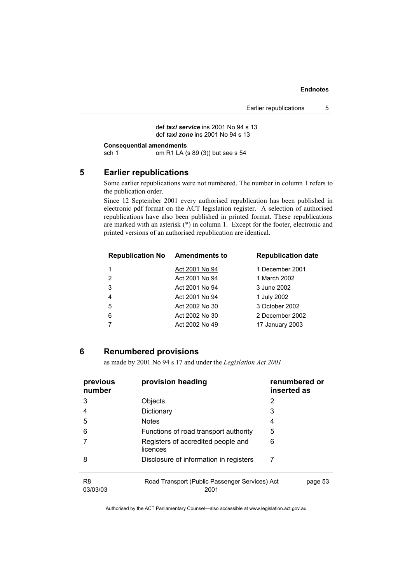def *taxi service* ins 2001 No 94 s 13 def *taxi zone* ins 2001 No 94 s 13

```
Consequential amendments<br>sch 1 om R1 LA (
```
om R1 LA (s 89 (3)) but see s 54

#### **5 Earlier republications**

Some earlier republications were not numbered. The number in column 1 refers to the publication order.

Since 12 September 2001 every authorised republication has been published in electronic pdf format on the ACT legislation register. A selection of authorised republications have also been published in printed format. These republications are marked with an asterisk (\*) in column 1. Except for the footer, electronic and printed versions of an authorised republication are identical.

| <b>Republication No</b> | <b>Amendments to</b> | <b>Republication date</b> |
|-------------------------|----------------------|---------------------------|
|                         | Act 2001 No 94       | 1 December 2001           |
| 2                       | Act 2001 No 94       | 1 March 2002              |
| 3                       | Act 2001 No 94       | 3 June 2002               |
| $\overline{4}$          | Act 2001 No 94       | 1 July 2002               |
| 5                       | Act 2002 No 30       | 3 October 2002            |
| 6                       | Act 2002 No 30       | 2 December 2002           |
|                         | Act 2002 No 49       | 17 January 2003           |
|                         |                      |                           |

#### **6 Renumbered provisions**

as made by 2001 No 94 s 17 and under the *Legislation Act 2001* 

| previous<br>number         | provision heading                                      | renumbered or<br>inserted as |
|----------------------------|--------------------------------------------------------|------------------------------|
| 3                          | Objects                                                | 2                            |
| 4                          | Dictionary                                             | 3                            |
| 5                          | <b>Notes</b>                                           | 4                            |
| 6                          | Functions of road transport authority                  | 5                            |
|                            | Registers of accredited people and<br>licences         | 6                            |
| 8                          | Disclosure of information in registers                 | 7                            |
| R <sub>8</sub><br>03/03/03 | Road Transport (Public Passenger Services) Act<br>2001 | page 53                      |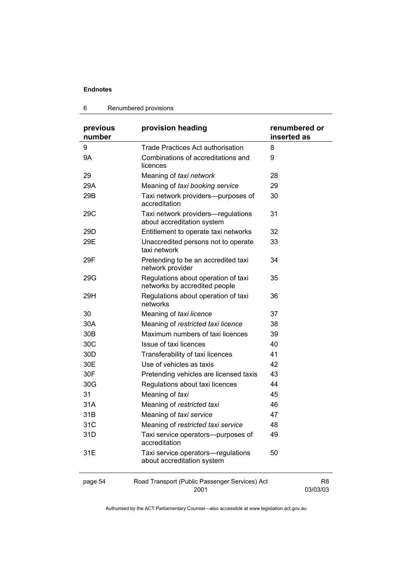#### 6 Renumbered provisions

| previous<br>number | provision heading                                                    | renumbered or<br>inserted as |
|--------------------|----------------------------------------------------------------------|------------------------------|
| 9                  | <b>Trade Practices Act authorisation</b>                             | 8                            |
| <b>9A</b>          | Combinations of accreditations and<br>licences                       | 9                            |
| 29                 | Meaning of taxi network                                              | 28                           |
| 29A                | Meaning of taxi booking service                                      | 29                           |
| 29B                | Taxi network providers--purposes of<br>accreditation                 | 30                           |
| 29C                | Taxi network providers-regulations<br>about accreditation system     | 31                           |
| 29 <sub>D</sub>    | Entitlement to operate taxi networks                                 | 32                           |
| 29E                | Unaccredited persons not to operate<br>taxi network                  | 33                           |
| 29F                | Pretending to be an accredited taxi<br>network provider              | 34                           |
| 29G                | Regulations about operation of taxi<br>networks by accredited people | 35                           |
| 29H                | Regulations about operation of taxi<br>networks                      | 36                           |
| 30                 | Meaning of taxi licence                                              | 37                           |
| 30A                | Meaning of restricted taxi licence                                   | 38                           |
| 30 <sub>B</sub>    | Maximum numbers of taxi licences                                     | 39                           |
| 30C                | Issue of taxi licences                                               | 40                           |
| 30 <sub>D</sub>    | Transferability of taxi licences                                     | 41                           |
| 30E                | Use of vehicles as taxis                                             | 42                           |
| 30F                | Pretending vehicles are licensed taxis                               | 43                           |
| 30G                | Regulations about taxi licences                                      | 44                           |
| 31                 | Meaning of taxi                                                      | 45                           |
| 31A                | Meaning of restricted taxi                                           | 46                           |
| 31B                | Meaning of taxi service                                              | 47                           |
| 31C                | Meaning of restricted taxi service                                   | 48                           |
| 31D                | Taxi service operators—purposes of<br>accreditation                  | 49                           |
| 31E                | Taxi service operators-regulations<br>about accreditation system     | 50                           |
| page 54            | Road Transport (Public Passenger Services) Act<br>2001               | R <sub>8</sub><br>03/03/03   |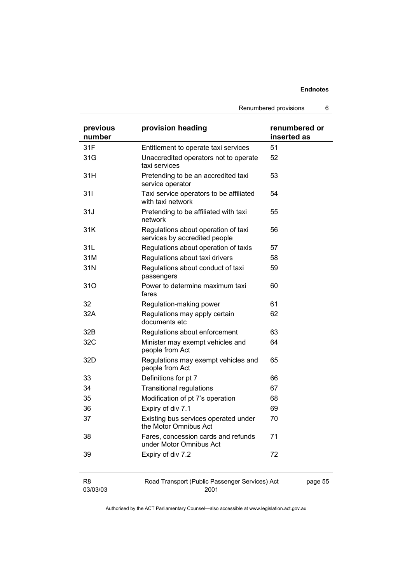Renumbered provisions 6

| previous<br>number | provision heading                                                    | renumbered or<br>inserted as |
|--------------------|----------------------------------------------------------------------|------------------------------|
| 31F                | Entitlement to operate taxi services                                 | 51                           |
| 31G                | Unaccredited operators not to operate<br>taxi services               | 52                           |
| 31H                | Pretending to be an accredited taxi<br>service operator              | 53                           |
| 311                | Taxi service operators to be affiliated<br>with taxi network         | 54                           |
| 31J                | Pretending to be affiliated with taxi<br>network                     | 55                           |
| 31K                | Regulations about operation of taxi<br>services by accredited people | 56                           |
| 31L                | Regulations about operation of taxis                                 | 57                           |
| 31M                | Regulations about taxi drivers                                       | 58                           |
| 31N                | Regulations about conduct of taxi<br>passengers                      | 59                           |
| 31O                | Power to determine maximum taxi<br>fares                             | 60                           |
| 32                 | Regulation-making power                                              | 61                           |
| 32A                | Regulations may apply certain<br>documents etc                       | 62                           |
| 32B                | Regulations about enforcement                                        | 63                           |
| 32C                | Minister may exempt vehicles and<br>people from Act                  | 64                           |
| 32D                | Regulations may exempt vehicles and<br>people from Act               | 65                           |
| 33                 | Definitions for pt 7                                                 | 66                           |
| 34                 | <b>Transitional regulations</b>                                      | 67                           |
| 35                 | Modification of pt 7's operation                                     | 68                           |
| 36                 | Expiry of div 7.1                                                    | 69                           |
| 37                 | Existing bus services operated under<br>the Motor Omnibus Act        | 70                           |
| 38                 | Fares, concession cards and refunds<br>under Motor Omnibus Act       | 71                           |
| 39                 | Expiry of div 7.2                                                    | 72                           |
| R <sub>8</sub>     | Road Transport (Public Passenger Services) Act                       | page 55                      |

Authorised by the ACT Parliamentary Counsel—also accessible at www.legislation.act.gov.au

2001

03/03/03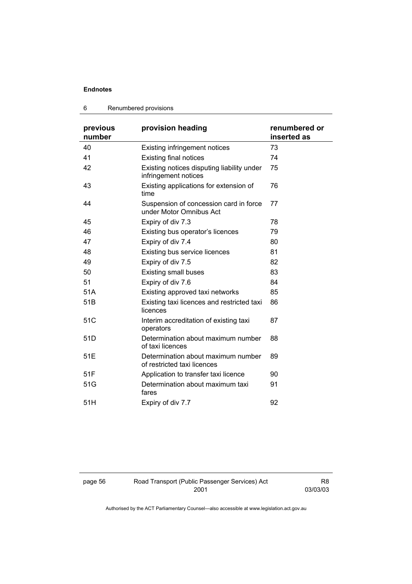#### 6 Renumbered provisions

| previous<br>number | provision heading                                                  | renumbered or<br>inserted as |
|--------------------|--------------------------------------------------------------------|------------------------------|
| 40                 | <b>Existing infringement notices</b>                               | 73                           |
| 41                 | <b>Existing final notices</b>                                      | 74                           |
| 42                 | Existing notices disputing liability under<br>infringement notices | 75                           |
| 43                 | Existing applications for extension of<br>time                     | 76                           |
| 44                 | Suspension of concession card in force<br>under Motor Omnibus Act  | 77                           |
| 45                 | Expiry of div 7.3                                                  | 78                           |
| 46                 | Existing bus operator's licences                                   | 79                           |
| 47                 | Expiry of div 7.4                                                  | 80                           |
| 48                 | Existing bus service licences                                      | 81                           |
| 49                 | Expiry of div 7.5                                                  | 82                           |
| 50                 | <b>Existing small buses</b>                                        | 83                           |
| 51                 | Expiry of div 7.6                                                  | 84                           |
| 51A                | Existing approved taxi networks                                    | 85                           |
| 51 <sub>B</sub>    | Existing taxi licences and restricted taxi<br>licences             | 86                           |
| 51C                | Interim accreditation of existing taxi<br>operators                | 87                           |
| 51 <sub>D</sub>    | Determination about maximum number<br>of taxi licences             | 88                           |
| 51E                | Determination about maximum number<br>of restricted taxi licences  | 89                           |
| 51F                | Application to transfer taxi licence                               | 90                           |
| 51G                | Determination about maximum taxi<br>fares                          | 91                           |
| 51H                | Expiry of div 7.7                                                  | 92                           |